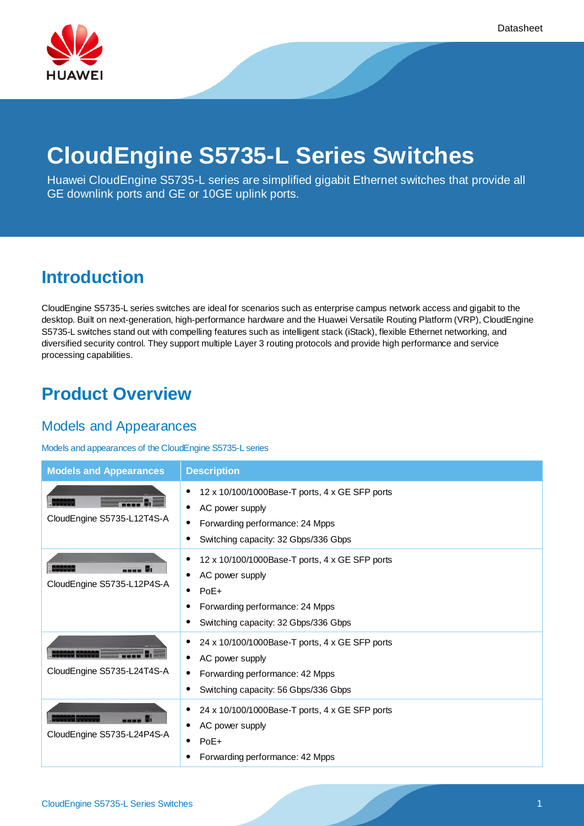

# **CloudEngine S5735-L Series Switches**

Huawei CloudEngine S5735-L series are simplified gigabit Ethernet switches that provide all GE downlink ports and GE or 10GE uplink ports.

## **Introduction**

CloudEngine S5735-L series switches are ideal for scenarios such as enterprise campus network access and gigabit to the desktop. Built on next-generation, high-performance hardware and the Huawei Versatile Routing Platform (VRP), CloudEngine S5735-L switches stand out with compelling features such as intelligent stack (iStack), flexible Ethernet networking, and diversified security control. They support multiple Layer 3 routing protocols and provide high performance and service processing capabilities.

## **Product Overview**

### Models and Appearances

#### Models and appearances of the CloudEngine S5735-L series

| <b>Models and Appearances</b> | <b>Description</b>                                                                                                                                                       |
|-------------------------------|--------------------------------------------------------------------------------------------------------------------------------------------------------------------------|
| CloudEngine S5735-L12T4S-A    | 12 x 10/100/1000Base-T ports, 4 x GE SFP ports<br>AC power supply<br>$\bullet$<br>Forwarding performance: 24 Mpps<br>Switching capacity: 32 Gbps/336 Gbps                |
| CloudEngine S5735-L12P4S-A    | 12 x 10/100/1000Base-T ports, 4 x GE SFP ports<br>AC power supply<br>٠<br>$PoE+$<br>$\bullet$<br>Forwarding performance: 24 Mpps<br>Switching capacity: 32 Gbps/336 Gbps |
| CloudEngine S5735-L24T4S-A    | 24 x 10/100/1000Base-T ports, 4 x GE SFP ports<br>AC power supply<br>Forwarding performance: 42 Mpps<br>Switching capacity: 56 Gbps/336 Gbps                             |
| CloudEngine S5735-L24P4S-A    | 24 x 10/100/1000Base-T ports, 4 x GE SFP ports<br>AC power supply<br>$PoE+$<br>٠<br>Forwarding performance: 42 Mpps                                                      |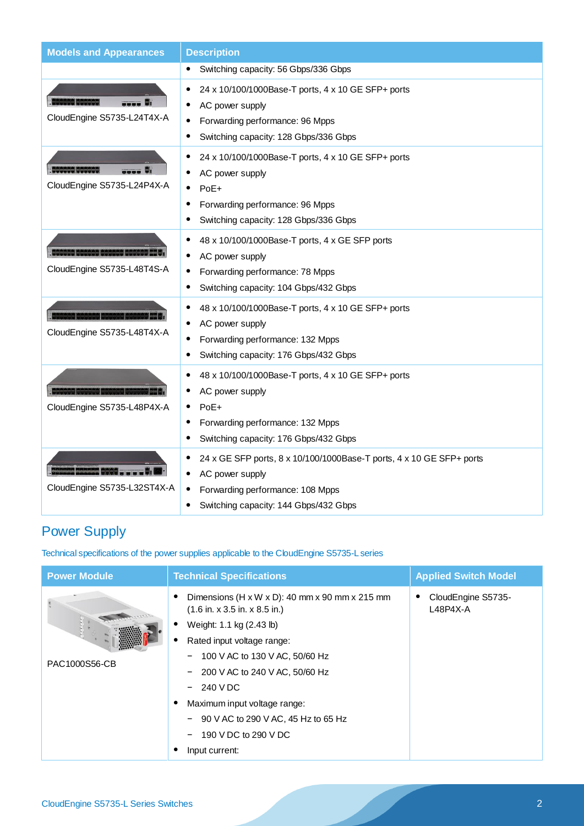| <b>Models and Appearances</b>               | <b>Description</b>                                                                                                                                                   |
|---------------------------------------------|----------------------------------------------------------------------------------------------------------------------------------------------------------------------|
|                                             | Switching capacity: 56 Gbps/336 Gbps<br>$\bullet$                                                                                                                    |
| CloudEngine S5735-L24T4X-A                  | 24 x 10/100/1000Base-T ports, 4 x 10 GE SFP+ ports<br>٠<br>AC power supply<br>Forwarding performance: 96 Mpps<br>Switching capacity: 128 Gbps/336 Gbps               |
| SERAAR KANSAS<br>CloudEngine S5735-L24P4X-A | 24 x 10/100/1000Base-T ports, 4 x 10 GE SFP+ ports<br>AC power supply<br>PoE+<br>Forwarding performance: 96 Mpps<br>Switching capacity: 128 Gbps/336 Gbps            |
| CloudEngine S5735-L48T4S-A                  | 48 x 10/100/1000Base-T ports, 4 x GE SFP ports<br>AC power supply<br>Forwarding performance: 78 Mpps<br>Switching capacity: 104 Gbps/432 Gbps                        |
| CloudEngine S5735-L48T4X-A                  | 48 x 10/100/1000Base-T ports, 4 x 10 GE SFP+ ports<br>AC power supply<br>Forwarding performance: 132 Mpps<br>Switching capacity: 176 Gbps/432 Gbps                   |
| CloudEngine S5735-L48P4X-A                  | 48 x 10/100/1000Base-T ports, 4 x 10 GE SFP+ ports<br>٠<br>AC power supply<br>PoE+<br>Forwarding performance: 132 Mpps<br>Switching capacity: 176 Gbps/432 Gbps      |
| CloudEngine S5735-L32ST4X-A                 | 24 x GE SFP ports, 8 x 10/100/1000Base-T ports, 4 x 10 GE SFP+ ports<br>AC power supply<br>Forwarding performance: 108 Mpps<br>Switching capacity: 144 Gbps/432 Gbps |

## Power Supply

Technical specifications of the power supplies applicable to the CloudEngine S5735-L series

| <b>Power Module</b> | <b>Technical Specifications</b>                                                                                                                                                                                                                                                                                                                  | <b>Applied Switch Model</b>      |
|---------------------|--------------------------------------------------------------------------------------------------------------------------------------------------------------------------------------------------------------------------------------------------------------------------------------------------------------------------------------------------|----------------------------------|
| PAC1000S56-CB       | Dimensions (H x W x D): 40 mm x 90 mm x 215 mm<br>$(1.6$ in. x 3.5 in. x 8.5 in.)<br>Weight: 1.1 kg (2.43 lb)<br>Rated input voltage range:<br>$-$ 100 V AC to 130 V AC, 50/60 Hz<br>200 V AC to 240 V AC, 50/60 Hz<br>240 V DC<br>Maximum input voltage range:<br>90 V AC to 290 V AC, 45 Hz to 65 Hz<br>190 V DC to 290 V DC<br>Input current: | CloudEngine S5735-<br>$L48P4X-A$ |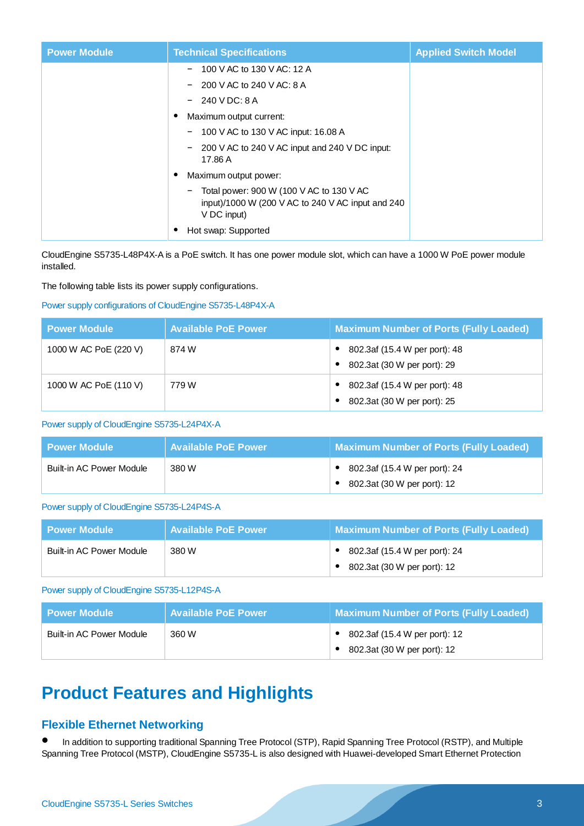| <b>Power Module</b> | <b>Technical Specifications</b>                                                                                    | <b>Applied Switch Model</b> |
|---------------------|--------------------------------------------------------------------------------------------------------------------|-----------------------------|
|                     | 100 V AC to 130 V AC: 12 A                                                                                         |                             |
|                     | 200 V AC to 240 V AC: 8 A                                                                                          |                             |
|                     | $-240$ V DC: 8 A                                                                                                   |                             |
|                     | Maximum output current:                                                                                            |                             |
|                     | $-$ 100 V AC to 130 V AC input: 16.08 A                                                                            |                             |
|                     | 200 V AC to 240 V AC input and 240 V DC input:<br>17.86 A                                                          |                             |
|                     | Maximum output power:                                                                                              |                             |
|                     | - Total power: $900 W (100 V AC$ to $130 V AC$<br>input)/1000 W (200 V AC to 240 V AC input and 240<br>V DC input) |                             |
|                     | Hot swap: Supported                                                                                                |                             |

CloudEngine S5735-L48P4X-A is a PoE switch. It has one power module slot, which can have a 1000 W PoE power module installed.

The following table lists its power supply configurations.

#### Power supply configurations of CloudEngine S5735-L48P4X-A

| <b>Power Module</b>   | <b>Available PoE Power</b> | <b>Maximum Number of Ports (Fully Loaded)</b>                |
|-----------------------|----------------------------|--------------------------------------------------------------|
| 1000 W AC PoE (220 V) | 874 W                      | 802.3af (15.4 W per port): 48<br>802.3at (30 W per port): 29 |
| 1000 W AC PoE (110 V) | 779 W                      | 802.3af (15.4 W per port): 48<br>802.3at (30 W per port): 25 |

#### Power supply of CloudEngine S5735-L24P4X-A

| l Power Module           | <b>Available PoE Power</b> | <b>Maximum Number of Ports (Fully Loaded)</b>                |
|--------------------------|----------------------------|--------------------------------------------------------------|
| Built-in AC Power Module | 380 W                      | 802.3af (15.4 W per port): 24<br>802.3at (30 W per port): 12 |

#### Power supply of CloudEngine S5735-L24P4S-A

| l Power Module I         | <b>Available PoE Power</b> | <b>Maximum Number of Ports (Fully Loaded)</b> |
|--------------------------|----------------------------|-----------------------------------------------|
| Built-in AC Power Module | 380 W                      | 802.3af (15.4 W per port): 24                 |
|                          |                            | 802.3at (30 W per port): 12                   |

#### Power supply of CloudEngine S5735-L12P4S-A

| l Power Module <b>\</b>  | <b>Available PoE Power</b> | Maximum Number of Ports (Fully Loaded)                       |
|--------------------------|----------------------------|--------------------------------------------------------------|
| Built-in AC Power Module | 360 W                      | 802.3af (15.4 W per port): 12<br>802.3at (30 W per port): 12 |

## **Product Features and Highlights**

#### **Flexible Ethernet Networking**

 In addition to supporting traditional Spanning Tree Protocol (STP), Rapid Spanning Tree Protocol (RSTP), and Multiple Spanning Tree Protocol (MSTP), CloudEngine S5735-L is also designed with Huawei-developed Smart Ethernet Protection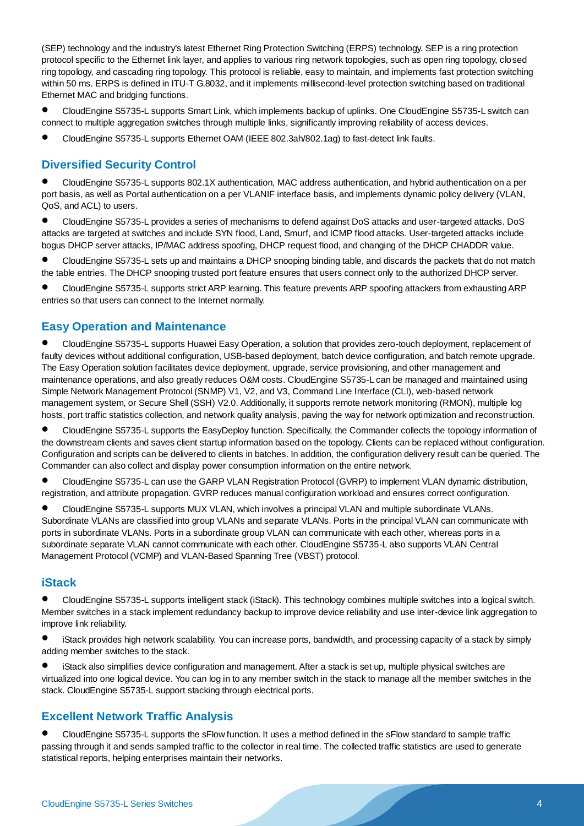(SEP) technology and the industry's latest Ethernet Ring Protection Switching (ERPS) technology. SEP is a ring protection protocol specific to the Ethernet link layer, and applies to various ring network topologies, such as open ring topology, closed ring topology, and cascading ring topology. This protocol is reliable, easy to maintain, and implements fast protection switching within 50 ms. ERPS is defined in ITU-T G.8032, and it implements millisecond-level protection switching based on traditional Ethernet MAC and bridging functions.

 CloudEngine S5735-L supports Smart Link, which implements backup of uplinks. One CloudEngine S5735-L switch can connect to multiple aggregation switches through multiple links, significantly improving reliability of access devices.

CloudEngine S5735-L supports Ethernet OAM (IEEE 802.3ah/802.1ag) to fast-detect link faults.

### **Diversified Security Control**

 CloudEngine S5735-L supports 802.1X authentication, MAC address authentication, and hybrid authentication on a per port basis, as well as Portal authentication on a per VLANIF interface basis, and implements dynamic policy delivery (VLAN, QoS, and ACL) to users.

 CloudEngine S5735-L provides a series of mechanisms to defend against DoS attacks and user-targeted attacks. DoS attacks are targeted at switches and include SYN flood, Land, Smurf, and ICMP flood attacks. User-targeted attacks include bogus DHCP server attacks, IP/MAC address spoofing, DHCP request flood, and changing of the DHCP CHADDR value.

 CloudEngine S5735-L sets up and maintains a DHCP snooping binding table, and discards the packets that do not match the table entries. The DHCP snooping trusted port feature ensures that users connect only to the authorized DHCP server.

 CloudEngine S5735-L supports strict ARP learning. This feature prevents ARP spoofing attackers from exhausting ARP entries so that users can connect to the Internet normally.

#### **Easy Operation and Maintenance**

 CloudEngine S5735-L supports Huawei Easy Operation, a solution that provides zero-touch deployment, replacement of faulty devices without additional configuration, USB-based deployment, batch device configuration, and batch remote upgrade. The Easy Operation solution facilitates device deployment, upgrade, service provisioning, and other management and maintenance operations, and also greatly reduces O&M costs. CloudEngine S5735-L can be managed and maintained using Simple Network Management Protocol (SNMP) V1, V2, and V3, Command Line Interface (CLI), web-based network management system, or Secure Shell (SSH) V2.0. Additionally, it supports remote network monitoring (RMON), multiple log hosts, port traffic statistics collection, and network quality analysis, paving the way for network optimization and reconstruction.

 CloudEngine S5735-L supports the EasyDeploy function. Specifically, the Commander collects the topology information of the downstream clients and saves client startup information based on the topology. Clients can be replaced without configuration. Configuration and scripts can be delivered to clients in batches. In addition, the configuration delivery result can be queried. The Commander can also collect and display power consumption information on the entire network.

 CloudEngine S5735-L can use the GARP VLAN Registration Protocol (GVRP) to implement VLAN dynamic distribution, registration, and attribute propagation. GVRP reduces manual configuration workload and ensures correct configuration.

 CloudEngine S5735-L supports MUX VLAN, which involves a principal VLAN and multiple subordinate VLANs. Subordinate VLANs are classified into group VLANs and separate VLANs. Ports in the principal VLAN can communicate with ports in subordinate VLANs. Ports in a subordinate group VLAN can communicate with each other, whereas ports in a subordinate separate VLAN cannot communicate with each other. CloudEngine S5735-L also supports VLAN Central Management Protocol (VCMP) and VLAN-Based Spanning Tree (VBST) protocol.

#### **iStack**

 CloudEngine S5735-L supports intelligent stack (iStack). This technology combines multiple switches into a logical switch. Member switches in a stack implement redundancy backup to improve device reliability and use inter-device link aggregation to improve link reliability.

 iStack provides high network scalability. You can increase ports, bandwidth, and processing capacity of a stack by simply adding member switches to the stack.

 iStack also simplifies device configuration and management. After a stack is set up, multiple physical switches are virtualized into one logical device. You can log in to any member switch in the stack to manage all the member switches in the stack. CloudEngine S5735-L support stacking through electrical ports.

#### **Excellent Network Traffic Analysis**

 CloudEngine S5735-L supports the sFlow function. It uses a method defined in the sFlow standard to sample traffic passing through it and sends sampled traffic to the collector in real time. The collected traffic statistics are used to generate statistical reports, helping enterprises maintain their networks.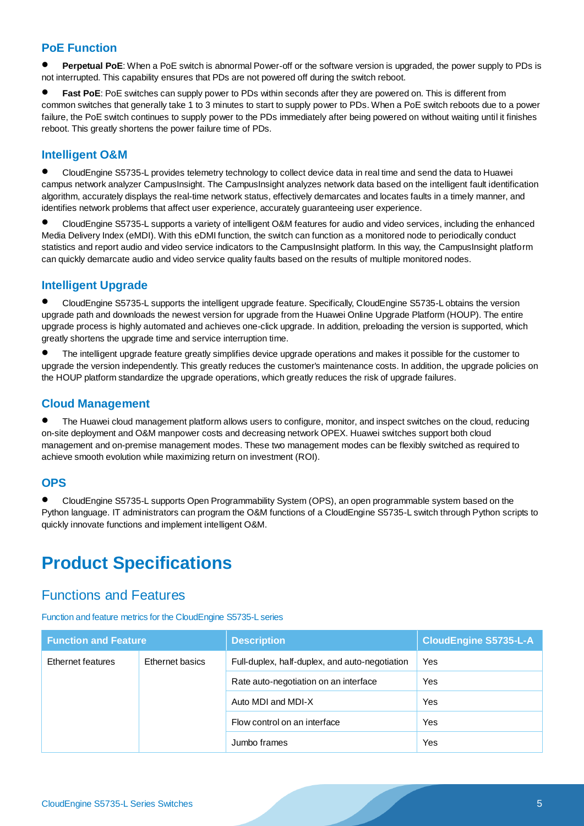#### **PoE Function**

 **Perpetual PoE**: When a PoE switch is abnormal Power-off or the software version is upgraded, the power supply to PDs is not interrupted. This capability ensures that PDs are not powered off during the switch reboot.

 **Fast PoE**: PoE switches can supply power to PDs within seconds after they are powered on. This is different from common switches that generally take 1 to 3 minutes to start to supply power to PDs. When a PoE switch reboots due to a power failure, the PoE switch continues to supply power to the PDs immediately after being powered on without waiting until it finishes reboot. This greatly shortens the power failure time of PDs.

#### **Intelligent O&M**

 CloudEngine S5735-L provides telemetry technology to collect device data in real time and send the data to Huawei campus network analyzer CampusInsight. The CampusInsight analyzes network data based on the intelligent fault identification algorithm, accurately displays the real-time network status, effectively demarcates and locates faults in a timely manner, and identifies network problems that affect user experience, accurately guaranteeing user experience.

 CloudEngine S5735-L supports a variety of intelligent O&M features for audio and video services, including the enhanced Media Delivery Index (eMDI). With this eDMI function, the switch can function as a monitored node to periodically conduct statistics and report audio and video service indicators to the CampusInsight platform. In this way, the CampusInsight platform can quickly demarcate audio and video service quality faults based on the results of multiple monitored nodes.

#### **Intelligent Upgrade**

 CloudEngine S5735-L supports the intelligent upgrade feature. Specifically, CloudEngine S5735-L obtains the version upgrade path and downloads the newest version for upgrade from the Huawei Online Upgrade Platform (HOUP). The entire upgrade process is highly automated and achieves one-click upgrade. In addition, preloading the version is supported, which greatly shortens the upgrade time and service interruption time.

 The intelligent upgrade feature greatly simplifies device upgrade operations and makes it possible for the customer to upgrade the version independently. This greatly reduces the customer's maintenance costs. In addition, the upgrade policies on the HOUP platform standardize the upgrade operations, which greatly reduces the risk of upgrade failures.

#### **Cloud Management**

 The Huawei cloud management platform allows users to configure, monitor, and inspect switches on the cloud, reducing on-site deployment and O&M manpower costs and decreasing network OPEX. Huawei switches support both cloud management and on-premise management modes. These two management modes can be flexibly switched as required to achieve smooth evolution while maximizing return on investment (ROI).

#### **OPS**

 CloudEngine S5735-L supports Open Programmability System (OPS), an open programmable system based on the Python language. IT administrators can program the O&M functions of a CloudEngine S5735-L switch through Python scripts to quickly innovate functions and implement intelligent O&M.

## **Product Specifications**

### Functions and Features

Function and feature metrics for the CloudEngine S5735-L series

| <b>Function and Feature</b>          |                                                | <b>Description</b>                    | <b>CloudEngine S5735-L-A</b> |
|--------------------------------------|------------------------------------------------|---------------------------------------|------------------------------|
| Ethernet features<br>Ethernet basics | Full-duplex, half-duplex, and auto-negotiation | Yes                                   |                              |
|                                      |                                                | Rate auto-negotiation on an interface | Yes                          |
|                                      |                                                | Auto MDI and MDI-X                    | Yes                          |
|                                      |                                                | Flow control on an interface          | Yes                          |
|                                      | Jumbo frames                                   | Yes                                   |                              |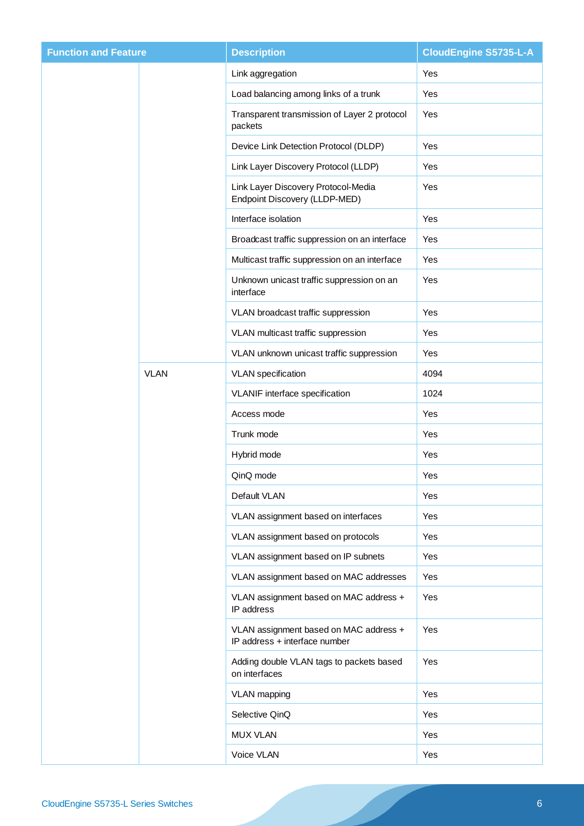| <b>Function and Feature</b> |             | <b>Description</b>                                                      | <b>CloudEngine S5735-L-A</b> |
|-----------------------------|-------------|-------------------------------------------------------------------------|------------------------------|
|                             |             | Link aggregation                                                        | Yes                          |
|                             |             | Load balancing among links of a trunk                                   | Yes                          |
|                             |             | Transparent transmission of Layer 2 protocol<br>packets                 | Yes                          |
|                             |             | Device Link Detection Protocol (DLDP)                                   | Yes                          |
|                             |             | Link Layer Discovery Protocol (LLDP)                                    | Yes                          |
|                             |             | Link Layer Discovery Protocol-Media<br>Endpoint Discovery (LLDP-MED)    | Yes                          |
|                             |             | Interface isolation                                                     | Yes                          |
|                             |             | Broadcast traffic suppression on an interface                           | Yes                          |
|                             |             | Multicast traffic suppression on an interface                           | Yes                          |
|                             |             | Unknown unicast traffic suppression on an<br>interface                  | Yes                          |
|                             |             | VLAN broadcast traffic suppression                                      | Yes                          |
|                             |             | VLAN multicast traffic suppression                                      | Yes                          |
|                             |             | VLAN unknown unicast traffic suppression                                | Yes                          |
|                             | <b>VLAN</b> | <b>VLAN</b> specification                                               | 4094                         |
|                             |             | VLANIF interface specification                                          | 1024                         |
|                             |             | Access mode                                                             | Yes                          |
|                             |             | Trunk mode                                                              | Yes                          |
|                             |             | Hybrid mode                                                             | Yes                          |
|                             |             | QinQ mode                                                               | Yes                          |
|                             |             | Default VLAN                                                            | Yes                          |
|                             |             | VLAN assignment based on interfaces                                     | Yes                          |
|                             |             | VLAN assignment based on protocols                                      | Yes                          |
|                             |             | VLAN assignment based on IP subnets                                     | Yes                          |
|                             |             | VLAN assignment based on MAC addresses                                  | Yes                          |
|                             |             | VLAN assignment based on MAC address +<br>IP address                    | Yes                          |
|                             |             | VLAN assignment based on MAC address +<br>IP address + interface number | Yes                          |
|                             |             | Adding double VLAN tags to packets based<br>on interfaces               | Yes                          |
|                             |             | VLAN mapping                                                            | Yes                          |
|                             |             | Selective QinQ                                                          | Yes                          |
|                             |             | MUX VLAN                                                                | Yes                          |
|                             |             | Voice VLAN                                                              | Yes                          |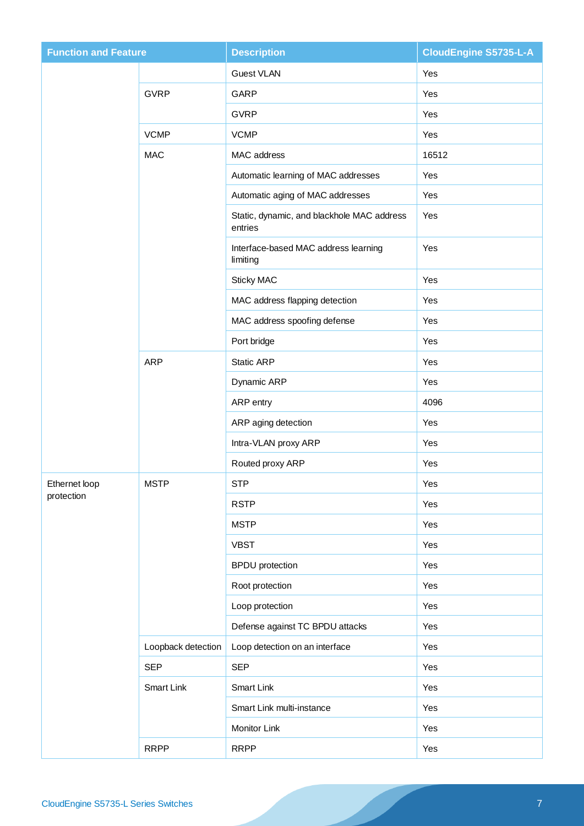| <b>Function and Feature</b> |                    | <b>Description</b>                                    | <b>CloudEngine S5735-L-A</b> |
|-----------------------------|--------------------|-------------------------------------------------------|------------------------------|
|                             |                    | Guest VLAN                                            | Yes                          |
|                             | <b>GVRP</b>        | GARP                                                  | Yes                          |
|                             |                    | <b>GVRP</b>                                           | Yes                          |
|                             | <b>VCMP</b>        | <b>VCMP</b>                                           | Yes                          |
|                             | <b>MAC</b>         | MAC address                                           | 16512                        |
|                             |                    | Automatic learning of MAC addresses                   | Yes                          |
|                             |                    | Automatic aging of MAC addresses                      | Yes                          |
|                             |                    | Static, dynamic, and blackhole MAC address<br>entries | Yes                          |
|                             |                    | Interface-based MAC address learning<br>limiting      | Yes                          |
|                             |                    | Sticky MAC                                            | Yes                          |
|                             |                    | MAC address flapping detection                        | Yes                          |
|                             |                    | MAC address spoofing defense                          | Yes                          |
|                             |                    | Port bridge                                           | Yes                          |
|                             | <b>ARP</b>         | <b>Static ARP</b>                                     | Yes                          |
|                             |                    | Dynamic ARP                                           | Yes                          |
|                             |                    | ARP entry                                             | 4096                         |
|                             |                    | ARP aging detection                                   | Yes                          |
|                             |                    | Intra-VLAN proxy ARP                                  | Yes                          |
|                             |                    | Routed proxy ARP                                      | Yes                          |
| Ethernet loop<br>protection | <b>MSTP</b>        | <b>STP</b>                                            | Yes                          |
|                             |                    | <b>RSTP</b>                                           | Yes                          |
|                             |                    | <b>MSTP</b>                                           | Yes                          |
|                             |                    | <b>VBST</b>                                           | Yes                          |
|                             |                    | <b>BPDU</b> protection                                | Yes                          |
|                             |                    | Root protection                                       | Yes                          |
|                             |                    | Loop protection                                       | Yes                          |
|                             |                    | Defense against TC BPDU attacks                       | Yes                          |
|                             | Loopback detection | Loop detection on an interface                        | Yes                          |
|                             | <b>SEP</b>         | <b>SEP</b>                                            | Yes                          |
|                             | Smart Link         | <b>Smart Link</b>                                     | Yes                          |
|                             |                    | Smart Link multi-instance                             | Yes                          |
|                             |                    | Monitor Link                                          | Yes                          |
|                             | <b>RRPP</b>        | <b>RRPP</b>                                           | Yes                          |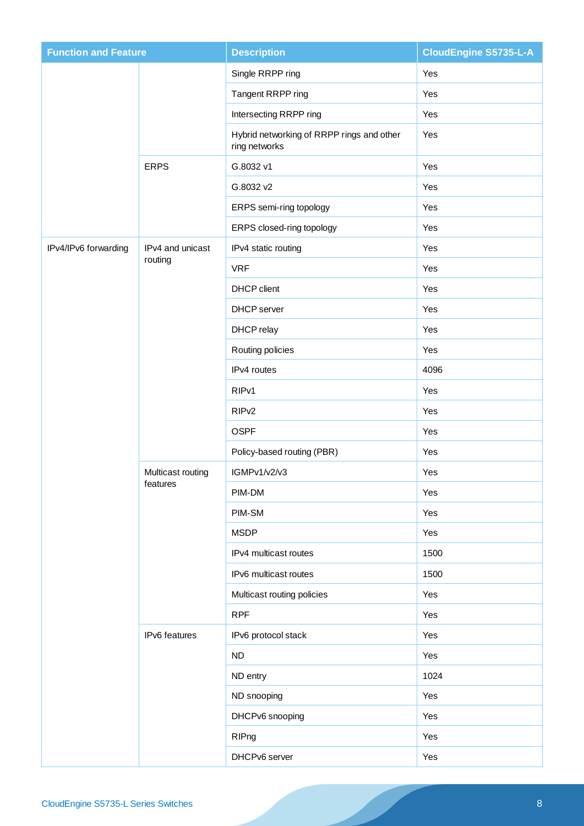| <b>Function and Feature</b> |                               | <b>Description</b>                                         | <b>CloudEngine S5735-L-A</b> |
|-----------------------------|-------------------------------|------------------------------------------------------------|------------------------------|
|                             |                               | Single RRPP ring                                           | Yes                          |
|                             |                               | Tangent RRPP ring                                          | Yes                          |
|                             |                               | Intersecting RRPP ring                                     | Yes                          |
|                             |                               | Hybrid networking of RRPP rings and other<br>ring networks | Yes                          |
|                             | <b>ERPS</b>                   | G.8032 v1                                                  | Yes                          |
|                             |                               | G.8032 v2                                                  | Yes                          |
|                             |                               | ERPS semi-ring topology                                    | Yes                          |
|                             |                               | ERPS closed-ring topology                                  | Yes                          |
| IPv4/IPv6 forwarding        | IPv4 and unicast              | IPv4 static routing                                        | Yes                          |
|                             | routing                       | <b>VRF</b>                                                 | Yes                          |
|                             |                               | <b>DHCP</b> client                                         | Yes                          |
|                             |                               | <b>DHCP</b> server                                         | Yes                          |
|                             |                               | DHCP relay                                                 | Yes                          |
|                             |                               | Routing policies                                           | Yes                          |
|                             |                               | IPv4 routes                                                | 4096                         |
|                             |                               | RIP <sub>v1</sub>                                          | Yes                          |
|                             |                               | RIP <sub>v2</sub>                                          | Yes                          |
|                             |                               | <b>OSPF</b>                                                | Yes                          |
|                             |                               | Policy-based routing (PBR)                                 | Yes                          |
|                             | Multicast routing<br>teatures | IGMPv1/v2/v3                                               | Yes                          |
|                             |                               | PIM-DM                                                     | Yes                          |
|                             |                               | PIM-SM                                                     | Yes                          |
|                             |                               | <b>MSDP</b>                                                | Yes                          |
|                             |                               | IPv4 multicast routes                                      | 1500                         |
|                             |                               | IPv6 multicast routes                                      | 1500                         |
|                             |                               | Multicast routing policies                                 | Yes                          |
|                             |                               | <b>RPF</b>                                                 | Yes                          |
|                             | IPv6 features                 | IPv6 protocol stack                                        | Yes                          |
|                             |                               | ND                                                         | Yes                          |
|                             |                               | ND entry                                                   | 1024                         |
|                             |                               | ND snooping                                                | Yes                          |
|                             |                               | DHCPv6 snooping                                            | Yes                          |
|                             |                               | RIPng                                                      | Yes                          |
|                             |                               | DHCPv6 server                                              | Yes                          |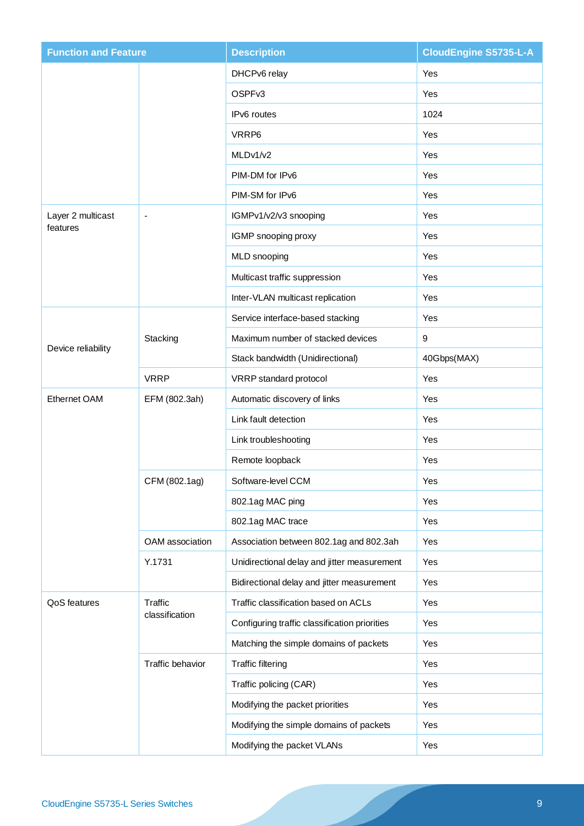| <b>Function and Feature</b> |                  | <b>Description</b>                            | <b>CloudEngine S5735-L-A</b> |
|-----------------------------|------------------|-----------------------------------------------|------------------------------|
|                             |                  | DHCPv6 relay                                  | Yes                          |
|                             |                  | OSPFv3                                        | Yes                          |
|                             |                  | IPv6 routes                                   | 1024                         |
|                             |                  | VRRP6                                         | Yes                          |
|                             |                  | MLDv1/v2                                      | <b>Yes</b>                   |
|                             |                  | PIM-DM for IPv6                               | Yes                          |
|                             |                  | PIM-SM for IPv6                               | Yes                          |
| Layer 2 multicast           | $\blacksquare$   | IGMPv1/v2/v3 snooping                         | Yes                          |
| features                    |                  | IGMP snooping proxy                           | Yes                          |
|                             |                  | MLD snooping                                  | Yes                          |
|                             |                  | Multicast traffic suppression                 | Yes                          |
|                             |                  | Inter-VLAN multicast replication              | Yes                          |
|                             |                  | Service interface-based stacking              | Yes                          |
|                             | Stacking         | Maximum number of stacked devices             | 9                            |
| Device reliability          |                  | Stack bandwidth (Unidirectional)              | 40Gbps(MAX)                  |
|                             | <b>VRRP</b>      | VRRP standard protocol                        | Yes                          |
| Ethernet OAM                | EFM (802.3ah)    | Automatic discovery of links                  | Yes                          |
|                             |                  | Link fault detection                          | <b>Yes</b>                   |
|                             |                  | Link troubleshooting                          | Yes                          |
|                             |                  | Remote loopback                               | Yes                          |
|                             | CFM (802.1ag)    | Software-level CCM                            | Yes                          |
|                             |                  | 802.1ag MAC ping                              | Yes                          |
|                             |                  | 802.1ag MAC trace                             | Yes                          |
|                             | OAM association  | Association between 802.1ag and 802.3ah       | Yes                          |
|                             | Y.1731           | Unidirectional delay and jitter measurement   | Yes                          |
|                             |                  | Bidirectional delay and jitter measurement    | Yes                          |
| QoS features                | Traffic          | Traffic classification based on ACLs          | Yes                          |
|                             | classification   | Configuring traffic classification priorities | Yes                          |
|                             |                  | Matching the simple domains of packets        | Yes                          |
|                             | Traffic behavior | <b>Traffic filtering</b>                      | Yes                          |
|                             |                  | Traffic policing (CAR)                        | Yes                          |
|                             |                  | Modifying the packet priorities               | Yes                          |
|                             |                  | Modifying the simple domains of packets       | Yes                          |
|                             |                  | Modifying the packet VLANs                    | Yes                          |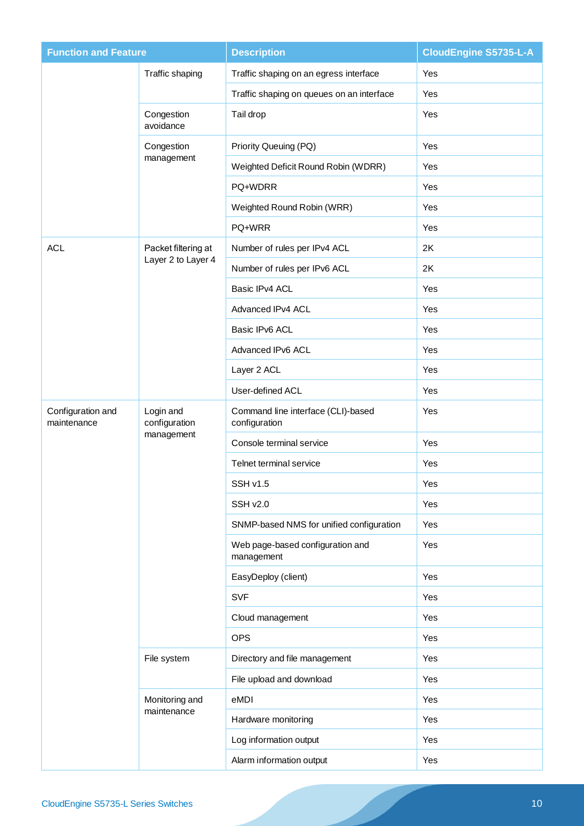| <b>Function and Feature</b>      |                            | <b>CloudEngine S5735-L-A</b><br><b>Description</b>  |            |
|----------------------------------|----------------------------|-----------------------------------------------------|------------|
|                                  | Traffic shaping            | Traffic shaping on an egress interface              | Yes        |
|                                  |                            | Traffic shaping on queues on an interface           | Yes        |
|                                  | Congestion<br>avoidance    | Tail drop                                           | Yes        |
|                                  | Congestion                 | Priority Queuing (PQ)                               | Yes        |
|                                  | management                 | Weighted Deficit Round Robin (WDRR)                 | Yes        |
|                                  |                            | PQ+WDRR                                             | Yes        |
|                                  |                            | Weighted Round Robin (WRR)                          | <b>Yes</b> |
|                                  |                            | PQ+WRR                                              | Yes        |
| <b>ACL</b>                       | Packet filtering at        | Number of rules per IPv4 ACL                        | 2K         |
|                                  | Layer 2 to Layer 4         | Number of rules per IPv6 ACL                        | 2K         |
|                                  |                            | Basic IPv4 ACL                                      | Yes        |
|                                  |                            | Advanced IPv4 ACL                                   | Yes        |
|                                  |                            | Basic IPv6 ACL                                      | Yes        |
|                                  |                            | Advanced IPv6 ACL                                   | <b>Yes</b> |
|                                  |                            | Layer 2 ACL                                         | Yes        |
|                                  |                            | User-defined ACL                                    | Yes        |
| Configuration and<br>maintenance | Login and<br>configuration | Command line interface (CLI)-based<br>configuration | Yes        |
|                                  | management                 | Console terminal service                            | Yes        |
|                                  |                            | Telnet terminal service                             | Yes        |
|                                  |                            | SSH v1.5                                            | Yes        |
|                                  |                            | SSH v2.0                                            | Yes        |
|                                  |                            | SNMP-based NMS for unified configuration            | Yes        |
|                                  |                            | Web page-based configuration and<br>management      | Yes        |
|                                  |                            | EasyDeploy (client)                                 | Yes        |
|                                  |                            | <b>SVF</b>                                          | Yes        |
|                                  |                            | Cloud management                                    | Yes        |
|                                  |                            | <b>OPS</b>                                          | Yes        |
|                                  | File system                | Directory and file management                       | Yes        |
|                                  |                            | File upload and download                            | Yes        |
|                                  | Monitoring and             | eMDI                                                | Yes        |
|                                  | maintenance                | Hardware monitoring                                 | Yes        |
|                                  |                            | Log information output                              | Yes        |
|                                  |                            | Alarm information output                            | Yes        |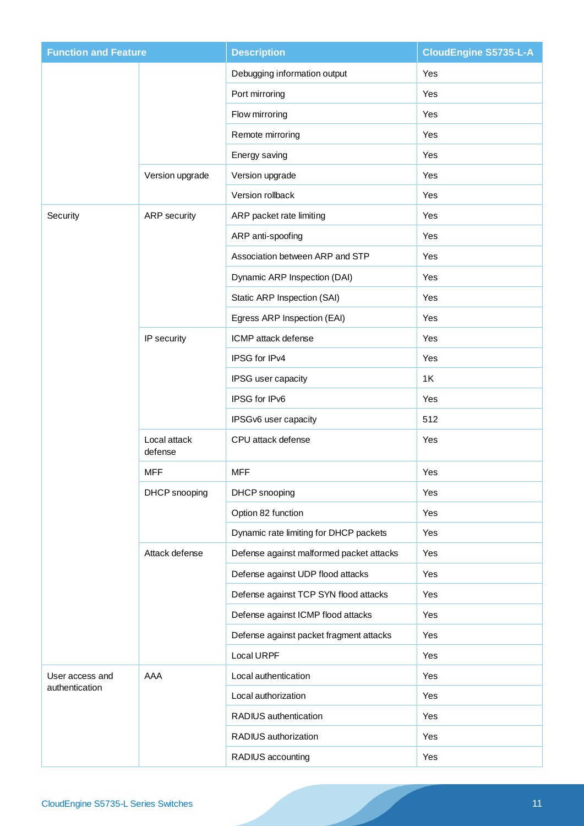| <b>Function and Feature</b> |                         | <b>Description</b>                       | <b>CloudEngine S5735-L-A</b> |
|-----------------------------|-------------------------|------------------------------------------|------------------------------|
|                             |                         | Debugging information output             | Yes                          |
|                             |                         | Port mirroring                           | Yes                          |
|                             |                         | Flow mirroring                           | Yes                          |
|                             |                         | Remote mirroring                         | Yes                          |
|                             |                         | Energy saving                            | Yes                          |
|                             | Version upgrade         | Version upgrade                          | Yes                          |
|                             |                         | Version rollback                         | Yes                          |
| Security                    | <b>ARP</b> security     | ARP packet rate limiting                 | Yes                          |
|                             |                         | ARP anti-spoofing                        | Yes                          |
|                             |                         | Association between ARP and STP          | Yes                          |
|                             |                         | Dynamic ARP Inspection (DAI)             | Yes                          |
|                             |                         | Static ARP Inspection (SAI)              | Yes                          |
|                             |                         | Egress ARP Inspection (EAI)              | Yes                          |
|                             | IP security             | ICMP attack defense                      | <b>Yes</b>                   |
|                             |                         | IPSG for IPv4                            | Yes                          |
|                             |                         | IPSG user capacity                       | 1K                           |
|                             |                         | IPSG for IPv6                            | Yes                          |
|                             |                         | IPSGv6 user capacity                     | 512                          |
|                             | Local attack<br>defense | CPU attack defense                       | Yes                          |
|                             | <b>MFF</b>              | <b>MFF</b>                               | Yes                          |
|                             | DHCP snooping           | DHCP snooping                            | Yes                          |
|                             |                         | Option 82 function                       | Yes                          |
|                             |                         | Dynamic rate limiting for DHCP packets   | Yes                          |
|                             | Attack defense          | Defense against malformed packet attacks | Yes                          |
|                             |                         | Defense against UDP flood attacks        | Yes                          |
|                             |                         | Defense against TCP SYN flood attacks    | Yes                          |
|                             |                         | Defense against ICMP flood attacks       | Yes                          |
|                             |                         | Defense against packet fragment attacks  | Yes                          |
|                             |                         | Local URPF                               | Yes                          |
| User access and             | AAA                     | Local authentication                     | Yes                          |
| authentication              |                         | Local authorization                      | Yes                          |
|                             |                         | RADIUS authentication                    | Yes                          |
|                             |                         | RADIUS authorization                     | Yes                          |
|                             |                         | RADIUS accounting                        | Yes                          |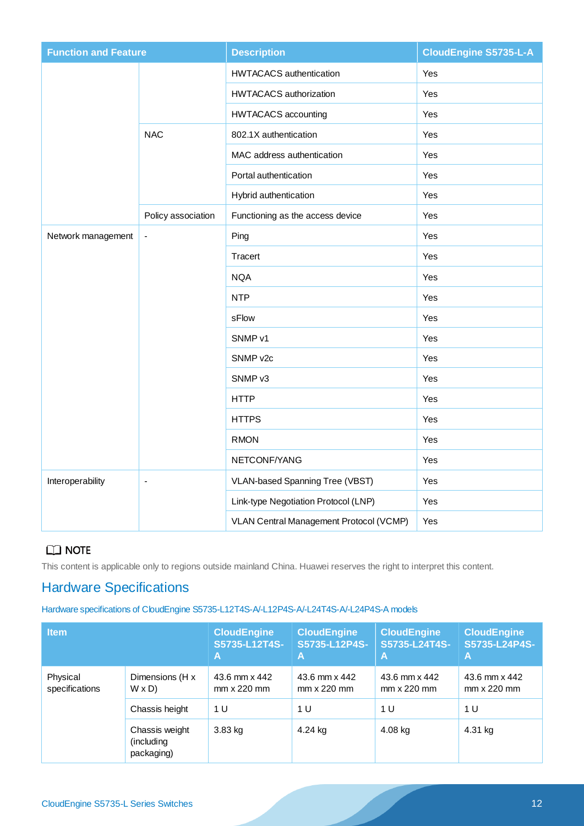| <b>Function and Feature</b> |                    | <b>Description</b>                      | <b>CloudEngine S5735-L-A</b> |
|-----------------------------|--------------------|-----------------------------------------|------------------------------|
|                             |                    | <b>HWTACACS</b> authentication          | Yes                          |
|                             |                    | <b>HWTACACS</b> authorization           | Yes                          |
|                             |                    | <b>HWTACACS</b> accounting              | Yes                          |
|                             | <b>NAC</b>         | 802.1X authentication                   | Yes                          |
|                             |                    | MAC address authentication              | Yes                          |
|                             |                    | Portal authentication                   | Yes                          |
|                             |                    | Hybrid authentication                   | Yes                          |
|                             | Policy association | Functioning as the access device        | Yes                          |
| Network management          | $\overline{a}$     | Ping                                    | Yes                          |
|                             |                    | Tracert                                 | Yes                          |
|                             |                    | <b>NQA</b>                              | Yes                          |
|                             |                    | <b>NTP</b>                              | Yes                          |
|                             |                    | sFlow                                   | Yes                          |
|                             |                    | SNMP v1                                 | Yes                          |
|                             |                    | SNMP v2c                                | Yes                          |
|                             |                    | SNMP <sub>v3</sub>                      | Yes                          |
|                             |                    | <b>HTTP</b>                             | Yes                          |
|                             |                    | <b>HTTPS</b>                            | Yes                          |
|                             |                    | <b>RMON</b>                             | Yes                          |
|                             |                    | NETCONF/YANG                            | Yes                          |
| Interoperability            | ÷,                 | VLAN-based Spanning Tree (VBST)         | Yes                          |
|                             |                    | Link-type Negotiation Protocol (LNP)    | Yes                          |
|                             |                    | VLAN Central Management Protocol (VCMP) | Yes                          |

This content is applicable only to regions outside mainland China. Huawei reserves the right to interpret this content.

## Hardware Specifications

### Hardware specifications of CloudEngine S5735-L12T4S-A/-L12P4S-A/-L24T4S-A/-L24P4S-A models

| <b>Item</b>                |                                            | <b>CloudEngine</b><br>S5735-L12T4S-<br>A | <b>CloudEngine</b><br>S5735-L12P4S-<br>A | <b>CloudEngine</b><br>S5735-L24T4S-<br>A | <b>CloudEngine</b><br>S5735-L24P4S-<br>Α |
|----------------------------|--------------------------------------------|------------------------------------------|------------------------------------------|------------------------------------------|------------------------------------------|
| Physical<br>specifications | Dimensions (H x<br>$W \times D$            | 43.6 mm x 442<br>$mm \times 220$ mm      | 43.6 mm x 442<br>$mm \times 220$ mm      | 43.6 mm x 442<br>$mm \times 220 \, mm$   | 43.6 mm x 442<br>$mm \times 220$ mm      |
|                            | Chassis height                             | 1 U                                      | 1 U                                      | 1 U                                      | 1 U                                      |
|                            | Chassis weight<br>(including<br>packaging) | 3.83 kg                                  | 4.24 kg                                  | $4.08$ kg                                | 4.31 kg                                  |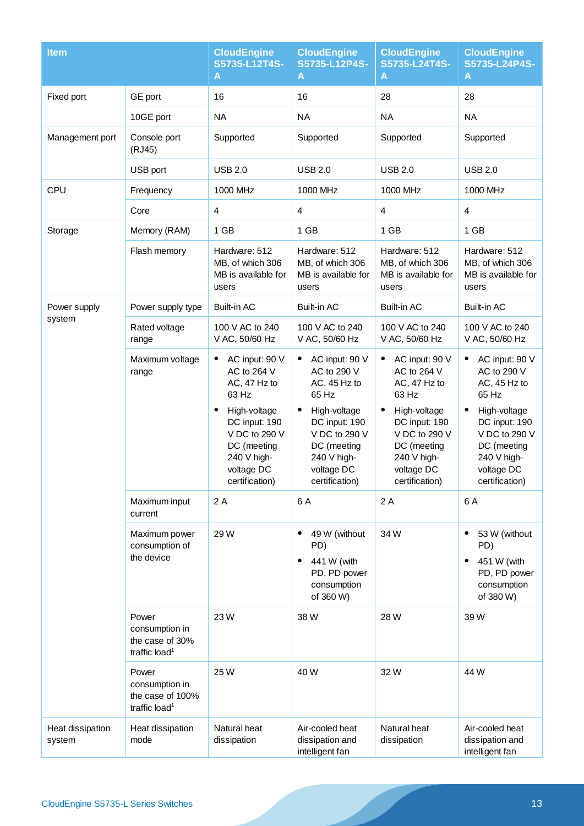| <b>Item</b>                |                                                                          | <b>CloudEngine</b><br>S5735-L12T4S-<br>A                                                                                                                                    | <b>CloudEngine</b><br>S5735-L12P4S-<br>A                                                                                                                                                 | <b>CloudEngine</b><br>S5735-L24T4S-<br>Α                                                                                                                               | <b>CloudEngine</b><br>S5735-L24P4S-<br>A                                                                                                                               |
|----------------------------|--------------------------------------------------------------------------|-----------------------------------------------------------------------------------------------------------------------------------------------------------------------------|------------------------------------------------------------------------------------------------------------------------------------------------------------------------------------------|------------------------------------------------------------------------------------------------------------------------------------------------------------------------|------------------------------------------------------------------------------------------------------------------------------------------------------------------------|
| Fixed port                 | GE port                                                                  | 16                                                                                                                                                                          | 16                                                                                                                                                                                       | 28                                                                                                                                                                     | 28                                                                                                                                                                     |
|                            | 10GE port                                                                | <b>NA</b>                                                                                                                                                                   | <b>NA</b>                                                                                                                                                                                | <b>NA</b>                                                                                                                                                              | <b>NA</b>                                                                                                                                                              |
| Management port            | Console port<br>(RJ45)                                                   | Supported                                                                                                                                                                   | Supported                                                                                                                                                                                | Supported                                                                                                                                                              | Supported                                                                                                                                                              |
|                            | USB port                                                                 | <b>USB 2.0</b>                                                                                                                                                              | <b>USB 2.0</b>                                                                                                                                                                           | <b>USB 2.0</b>                                                                                                                                                         | <b>USB 2.0</b>                                                                                                                                                         |
| CPU                        | Frequency                                                                | 1000 MHz                                                                                                                                                                    | 1000 MHz                                                                                                                                                                                 | 1000 MHz                                                                                                                                                               | 1000 MHz                                                                                                                                                               |
|                            | Core                                                                     | 4                                                                                                                                                                           | $\overline{4}$                                                                                                                                                                           | 4                                                                                                                                                                      | $\overline{4}$                                                                                                                                                         |
| Storage                    | Memory (RAM)                                                             | 1 GB                                                                                                                                                                        | 1 GB                                                                                                                                                                                     | 1 GB                                                                                                                                                                   | 1 GB                                                                                                                                                                   |
|                            | Flash memory                                                             | Hardware: 512<br>MB, of which 306<br>MB is available for<br>users                                                                                                           | Hardware: 512<br>MB, of which 306<br>MB is available for<br>users                                                                                                                        | Hardware: 512<br>MB, of which 306<br>MB is available for<br>users                                                                                                      | Hardware: 512<br>MB, of which 306<br>MB is available for<br>users                                                                                                      |
| Power supply               | Power supply type                                                        | <b>Built-in AC</b>                                                                                                                                                          | Built-in AC                                                                                                                                                                              | <b>Built-in AC</b>                                                                                                                                                     | <b>Built-in AC</b>                                                                                                                                                     |
| system                     | Rated voltage<br>range                                                   | 100 V AC to 240<br>V AC, 50/60 Hz                                                                                                                                           | 100 V AC to 240<br>V AC, 50/60 Hz                                                                                                                                                        | 100 V AC to 240<br>V AC, 50/60 Hz                                                                                                                                      | 100 V AC to 240<br>V AC, 50/60 Hz                                                                                                                                      |
|                            | Maximum voltage<br>range                                                 | AC input: 90 V<br>٠<br>AC to 264 V<br>AC, 47 Hz to<br>63 Hz<br>High-voltage<br>DC input: 190<br>V DC to 290 V<br>DC (meeting<br>240 V high-<br>voltage DC<br>certification) | AC input: 90 V<br>٠<br>AC to 290 V<br>AC, 45 Hz to<br>65 Hz<br>High-voltage<br>$\bullet$<br>DC input: 190<br>V DC to 290 V<br>DC (meeting<br>240 V high-<br>voltage DC<br>certification) | AC input: 90 V<br>AC to 264 V<br>AC, 47 Hz to<br>63 Hz<br>High-voltage<br>DC input: 190<br>V DC to 290 V<br>DC (meeting<br>240 V high-<br>voltage DC<br>certification) | AC input: 90 V<br>AC to 290 V<br>AC, 45 Hz to<br>65 Hz<br>High-voltage<br>DC input: 190<br>V DC to 290 V<br>DC (meeting<br>240 V high-<br>voltage DC<br>certification) |
|                            | Maximum input<br>current                                                 | 2A                                                                                                                                                                          | 6 A                                                                                                                                                                                      | 2 A                                                                                                                                                                    | 6A                                                                                                                                                                     |
|                            | Maximum power<br>consumption of<br>the device                            | 29 W                                                                                                                                                                        | 49 W (without<br>$\bullet$<br>PD)<br>441 W (with<br>$\bullet$<br>PD, PD power<br>consumption<br>of 360 W)                                                                                | 34W                                                                                                                                                                    | 53 W (without<br>٠<br>PD)<br>451 W (with<br>PD, PD power<br>consumption<br>of 380 W)                                                                                   |
|                            | Power<br>consumption in<br>the case of 30%<br>traffic load <sup>1</sup>  | 23 W                                                                                                                                                                        | 38 W                                                                                                                                                                                     | 28 W                                                                                                                                                                   | 39 W                                                                                                                                                                   |
|                            | Power<br>consumption in<br>the case of 100%<br>traffic load <sup>1</sup> | 25 W                                                                                                                                                                        | 40 W                                                                                                                                                                                     | 32W                                                                                                                                                                    | 44 W                                                                                                                                                                   |
| Heat dissipation<br>system | Heat dissipation<br>mode                                                 | Natural heat<br>dissipation                                                                                                                                                 | Air-cooled heat<br>dissipation and<br>intelligent fan                                                                                                                                    | Natural heat<br>dissipation                                                                                                                                            | Air-cooled heat<br>dissipation and<br>intelligent fan                                                                                                                  |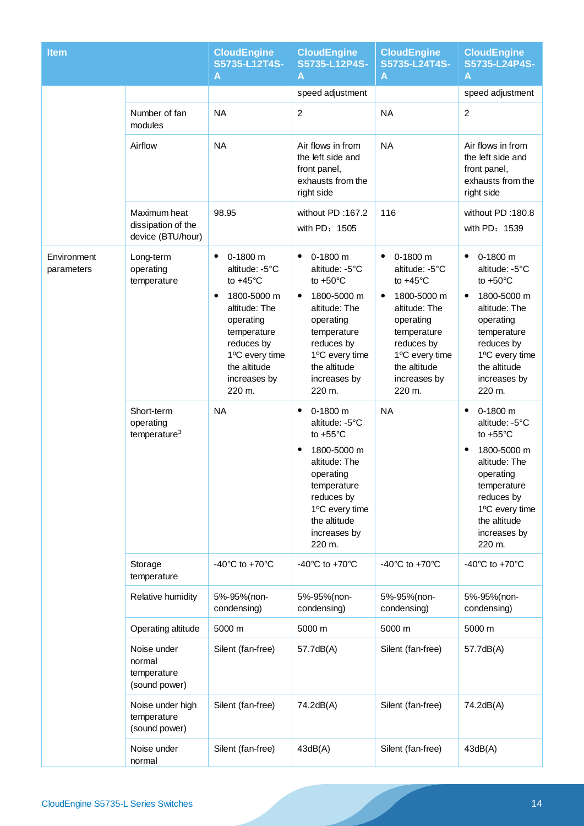| <b>Item</b>               |                                                         | <b>CloudEngine</b><br>S5735-L12T4S-<br>A                                                                                                                                                                         | <b>CloudEngine</b><br>S5735-L12P4S-<br>A                                                                                                                                                                   | <b>CloudEngine</b><br>S5735-L24T4S-<br>A                                                                                                                                                                         | <b>CloudEngine</b><br>S5735-L24P4S-<br>A                                                                                                                                                            |
|---------------------------|---------------------------------------------------------|------------------------------------------------------------------------------------------------------------------------------------------------------------------------------------------------------------------|------------------------------------------------------------------------------------------------------------------------------------------------------------------------------------------------------------|------------------------------------------------------------------------------------------------------------------------------------------------------------------------------------------------------------------|-----------------------------------------------------------------------------------------------------------------------------------------------------------------------------------------------------|
|                           |                                                         |                                                                                                                                                                                                                  | speed adjustment                                                                                                                                                                                           |                                                                                                                                                                                                                  | speed adjustment                                                                                                                                                                                    |
|                           | Number of fan<br>modules                                | <b>NA</b>                                                                                                                                                                                                        | $\overline{c}$                                                                                                                                                                                             | <b>NA</b>                                                                                                                                                                                                        | $\overline{2}$                                                                                                                                                                                      |
|                           | Airflow                                                 | <b>NA</b>                                                                                                                                                                                                        | Air flows in from<br>the left side and<br>front panel,<br>exhausts from the<br>right side                                                                                                                  | <b>NA</b>                                                                                                                                                                                                        | Air flows in from<br>the left side and<br>front panel,<br>exhausts from the<br>right side                                                                                                           |
|                           | Maximum heat<br>dissipation of the<br>device (BTU/hour) | 98.95                                                                                                                                                                                                            | without PD:167.2<br>with PD: 1505                                                                                                                                                                          | 116                                                                                                                                                                                                              | without PD:180.8<br>with PD: 1539                                                                                                                                                                   |
| Environment<br>parameters | Long-term<br>operating<br>temperature                   | 0-1800 m<br>$\bullet$<br>altitude: -5°C<br>to $+45^{\circ}$ C<br>1800-5000 m<br>$\bullet$<br>altitude: The<br>operating<br>temperature<br>reduces by<br>1°C every time<br>the altitude<br>increases by<br>220 m. | $0-1800$ m<br>٠<br>altitude: -5°C<br>to $+50^{\circ}$ C<br>1800-5000 m<br>$\bullet$<br>altitude: The<br>operating<br>temperature<br>reduces by<br>1°C every time<br>the altitude<br>increases by<br>220 m. | $\bullet$<br>0-1800 m<br>altitude: -5°C<br>to $+45^{\circ}$ C<br>1800-5000 m<br>$\bullet$<br>altitude: The<br>operating<br>temperature<br>reduces by<br>1°C every time<br>the altitude<br>increases by<br>220 m. | 0-1800 m<br>$\bullet$<br>altitude: -5°C<br>to $+50^{\circ}$ C<br>1800-5000 m<br>altitude: The<br>operating<br>temperature<br>reduces by<br>1°C every time<br>the altitude<br>increases by<br>220 m. |
|                           | Short-term<br>operating<br>temperature <sup>3</sup>     | <b>NA</b>                                                                                                                                                                                                        | $0-1800$ m<br>٠<br>altitude: -5°C<br>to $+55^{\circ}$ C<br>1800-5000 m<br>$\bullet$<br>altitude: The<br>operating<br>temperature<br>reduces by<br>1°C every time<br>the altitude<br>increases by<br>220 m. | <b>NA</b>                                                                                                                                                                                                        | $0-1800$ m<br>٠<br>altitude: -5°C<br>to $+55^{\circ}$ C<br>1800-5000 m<br>٠<br>altitude: The<br>operating<br>temperature<br>reduces by<br>1°C every time<br>the altitude<br>increases by<br>220 m.  |
|                           | Storage<br>temperature                                  | -40 $^{\circ}$ C to +70 $^{\circ}$ C                                                                                                                                                                             | -40 $^{\circ}$ C to +70 $^{\circ}$ C                                                                                                                                                                       | -40 $^{\circ}$ C to +70 $^{\circ}$ C                                                                                                                                                                             | -40 $^{\circ}$ C to +70 $^{\circ}$ C                                                                                                                                                                |
|                           | Relative humidity                                       | 5%-95%(non-<br>condensing)                                                                                                                                                                                       | 5%-95%(non-<br>condensing)                                                                                                                                                                                 | 5%-95%(non-<br>condensing)                                                                                                                                                                                       | 5%-95%(non-<br>condensing)                                                                                                                                                                          |
|                           | Operating altitude                                      | 5000 m                                                                                                                                                                                                           | 5000 m                                                                                                                                                                                                     | 5000 m                                                                                                                                                                                                           | 5000 m                                                                                                                                                                                              |
|                           | Noise under<br>normal<br>temperature<br>(sound power)   | Silent (fan-free)                                                                                                                                                                                                | 57.7dB(A)                                                                                                                                                                                                  | Silent (fan-free)                                                                                                                                                                                                | 57.7dB(A)                                                                                                                                                                                           |
|                           | Noise under high<br>temperature<br>(sound power)        | Silent (fan-free)                                                                                                                                                                                                | 74.2dB(A)                                                                                                                                                                                                  | Silent (fan-free)                                                                                                                                                                                                | 74.2dB(A)                                                                                                                                                                                           |
|                           | Noise under<br>normal                                   | Silent (fan-free)                                                                                                                                                                                                | 43dB(A)                                                                                                                                                                                                    | Silent (fan-free)                                                                                                                                                                                                | 43dB(A)                                                                                                                                                                                             |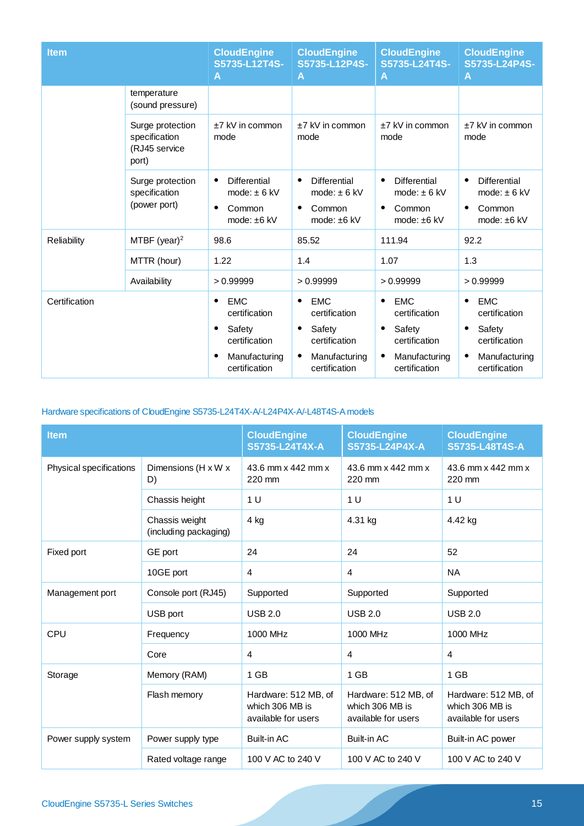| <b>Item</b>   |                                                    | <b>CloudEngine</b><br>S5735-L12T4S-<br>A                                                              | <b>CloudEngine</b><br>S5735-L12P4S-<br>A                                                                                | <b>CloudEngine</b><br>S5735-L24T4S-<br>Α                                                              | <b>CloudEngine</b><br>S5735-L24P4S-<br>Α                                                                           |
|---------------|----------------------------------------------------|-------------------------------------------------------------------------------------------------------|-------------------------------------------------------------------------------------------------------------------------|-------------------------------------------------------------------------------------------------------|--------------------------------------------------------------------------------------------------------------------|
|               | temperature<br>(sound pressure)                    |                                                                                                       |                                                                                                                         |                                                                                                       |                                                                                                                    |
| port)         | Surge protection<br>specification<br>(RJ45 service | ±7 kV in common<br>mode                                                                               | +7 kV in common<br>mode                                                                                                 | $+7$ kV in common<br>mode                                                                             | +7 kV in common<br>mode                                                                                            |
|               | Surge protection<br>specification<br>(power port)  | <b>Differential</b><br>mode: $\pm$ 6 kV<br>Common<br>mode: ±6 kV                                      | <b>Differential</b><br>$\bullet$<br>mode: $\pm$ 6 kV<br>Common<br>٠<br>mode: $±6$ kV                                    | <b>Differential</b><br>$\bullet$<br>mode: $\pm$ 6 kV<br>Common<br>mode: $±6$ kV                       | <b>Differential</b><br>$\bullet$<br>mode: $\pm$ 6 kV<br>Common<br>$\bullet$<br>mode: ±6 kV                         |
| Reliability   | MTBF (year) <sup>2</sup>                           | 98.6                                                                                                  | 85.52                                                                                                                   | 111.94                                                                                                | 92.2                                                                                                               |
|               | MTTR (hour)                                        | 1.22                                                                                                  | 1.4                                                                                                                     | 1.07                                                                                                  | 1.3                                                                                                                |
|               | Availability                                       | >0.99999                                                                                              | >0.99999                                                                                                                | >0.99999                                                                                              | >0.99999                                                                                                           |
| Certification |                                                    | <b>EMC</b><br>$\bullet$<br>certification<br>Safety<br>certification<br>Manufacturing<br>certification | <b>EMC</b><br>$\bullet$<br>certification<br>Safety<br>٠<br>certification<br>Manufacturing<br>$\bullet$<br>certification | <b>EMC</b><br>$\bullet$<br>certification<br>Safety<br>certification<br>Manufacturing<br>certification | <b>EMC</b><br>$\bullet$<br>certification<br>Safety<br>$\bullet$<br>certification<br>Manufacturing<br>certification |

### Hardware specifications of CloudEngine S5735-L24T4X-A/-L24P4X-A/-L48T4S-A models

| <b>Item</b>             |                                         | <b>CloudEngine</b><br>S5735-L24T4X-A                           | <b>CloudEngine</b><br>S5735-L24P4X-A                           | <b>CloudEngine</b><br>S5735-L48T4S-A                           |
|-------------------------|-----------------------------------------|----------------------------------------------------------------|----------------------------------------------------------------|----------------------------------------------------------------|
| Physical specifications | Dimensions (H x W x<br>D)               | 43.6 mm x 442 mm x<br>220 mm                                   | 43.6 mm x 442 mm x<br>220 mm                                   | 43.6 mm x 442 mm x<br>220 mm                                   |
|                         | Chassis height                          | 1 <sub>U</sub>                                                 | 1 U                                                            | 1 <sub>U</sub>                                                 |
|                         | Chassis weight<br>(including packaging) | 4 kg                                                           | 4.31 kg                                                        | 4.42 kg                                                        |
| Fixed port              | GE port                                 | 24                                                             | 24                                                             | 52                                                             |
|                         | 10GE port                               | 4                                                              | $\overline{4}$                                                 | <b>NA</b>                                                      |
| Management port         | Console port (RJ45)                     | Supported                                                      | Supported                                                      | Supported                                                      |
|                         | USB port                                | <b>USB 2.0</b>                                                 | <b>USB 2.0</b>                                                 | <b>USB 2.0</b>                                                 |
| CPU                     | Frequency                               | 1000 MHz                                                       | 1000 MHz                                                       | 1000 MHz                                                       |
|                         | Core                                    | 4                                                              | $\overline{4}$                                                 | $\overline{4}$                                                 |
| Storage                 | Memory (RAM)                            | 1 GB                                                           | 1 GB                                                           | 1 GB                                                           |
|                         | Flash memory                            | Hardware: 512 MB, of<br>which 306 MB is<br>available for users | Hardware: 512 MB, of<br>which 306 MB is<br>available for users | Hardware: 512 MB, of<br>which 306 MB is<br>available for users |
| Power supply system     | Power supply type                       | <b>Built-in AC</b>                                             | <b>Built-in AC</b>                                             | Built-in AC power                                              |
|                         | Rated voltage range                     | 100 V AC to 240 V                                              | 100 V AC to 240 V                                              | 100 V AC to 240 V                                              |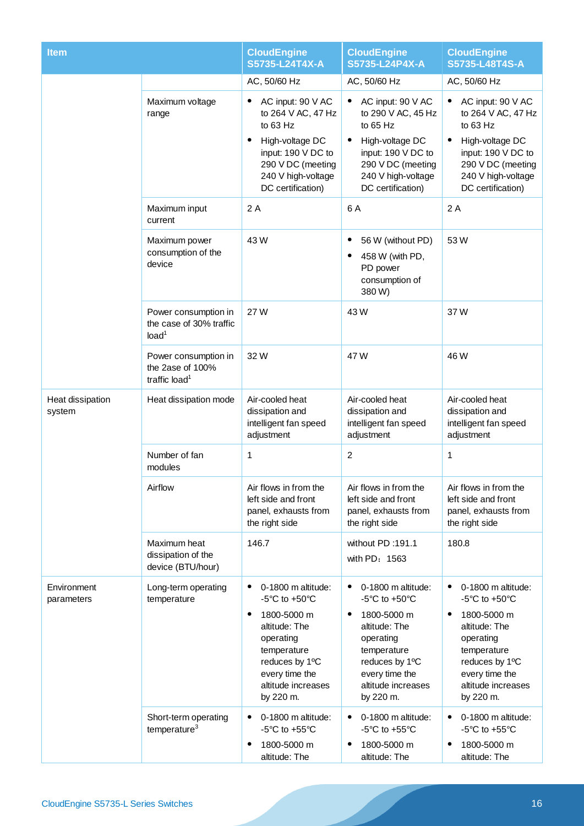| <b>Item</b>                |                                                                       | <b>CloudEngine</b><br>S5735-L24T4X-A                                                                                                                                                                                                    | <b>CloudEngine</b><br>S5735-L24P4X-A                                                                                                                                                                                                                    | <b>CloudEngine</b><br>S5735-L48T4S-A                                                                                                                                                                                                            |
|----------------------------|-----------------------------------------------------------------------|-----------------------------------------------------------------------------------------------------------------------------------------------------------------------------------------------------------------------------------------|---------------------------------------------------------------------------------------------------------------------------------------------------------------------------------------------------------------------------------------------------------|-------------------------------------------------------------------------------------------------------------------------------------------------------------------------------------------------------------------------------------------------|
|                            |                                                                       | AC, 50/60 Hz                                                                                                                                                                                                                            | AC, 50/60 Hz                                                                                                                                                                                                                                            | AC, 50/60 Hz                                                                                                                                                                                                                                    |
|                            | Maximum voltage<br>range                                              | AC input: 90 V AC<br>٠<br>to 264 V AC, 47 Hz<br>to 63 Hz<br>High-voltage DC<br>input: 190 V DC to<br>290 V DC (meeting<br>240 V high-voltage<br>DC certification)                                                                       | AC input: 90 V AC<br>to 290 V AC, 45 Hz<br>to $65$ Hz<br>High-voltage DC<br>$\bullet$<br>input: 190 V DC to<br>290 V DC (meeting<br>240 V high-voltage<br>DC certification)                                                                             | AC input: 90 V AC<br>to 264 V AC, 47 Hz<br>to 63 Hz<br>High-voltage DC<br>$\bullet$<br>input: 190 V DC to<br>290 V DC (meeting<br>240 V high-voltage<br>DC certification)                                                                       |
|                            | Maximum input<br>current                                              | 2A                                                                                                                                                                                                                                      | 6 A                                                                                                                                                                                                                                                     | 2A                                                                                                                                                                                                                                              |
|                            | Maximum power<br>consumption of the<br>device                         | 43W                                                                                                                                                                                                                                     | 56 W (without PD)<br>٠<br>458 W (with PD,<br>PD power<br>consumption of<br>380 W)                                                                                                                                                                       | 53W                                                                                                                                                                                                                                             |
|                            | Power consumption in<br>the case of 30% traffic<br>load <sup>1</sup>  | 27 W                                                                                                                                                                                                                                    | 43 W                                                                                                                                                                                                                                                    | 37W                                                                                                                                                                                                                                             |
|                            | Power consumption in<br>the 2ase of 100%<br>traffic load <sup>1</sup> | 32W                                                                                                                                                                                                                                     | 47 W                                                                                                                                                                                                                                                    | 46 W                                                                                                                                                                                                                                            |
| Heat dissipation<br>system | Heat dissipation mode                                                 | Air-cooled heat<br>dissipation and<br>intelligent fan speed<br>adjustment                                                                                                                                                               | Air-cooled heat<br>dissipation and<br>intelligent fan speed<br>adjustment                                                                                                                                                                               | Air-cooled heat<br>dissipation and<br>intelligent fan speed<br>adjustment                                                                                                                                                                       |
|                            | Number of fan<br>modules                                              | 1                                                                                                                                                                                                                                       | $\overline{c}$                                                                                                                                                                                                                                          | 1                                                                                                                                                                                                                                               |
|                            | Airflow                                                               | Air flows in from the<br>left side and front<br>panel, exhausts from<br>the right side                                                                                                                                                  | Air flows in from the<br>left side and front<br>panel, exhausts from<br>the right side                                                                                                                                                                  | Air flows in from the<br>left side and front<br>panel, exhausts from<br>the right side                                                                                                                                                          |
|                            | Maximum heat<br>dissipation of the<br>device (BTU/hour)               | 146.7                                                                                                                                                                                                                                   | without PD:191.1<br>with PD: 1563                                                                                                                                                                                                                       | 180.8                                                                                                                                                                                                                                           |
| Environment<br>parameters  | Long-term operating<br>temperature<br>Short-term operating            | 0-1800 m altitude:<br>$\bullet$<br>$-5^{\circ}$ C to $+50^{\circ}$ C<br>1800-5000 m<br>٠<br>altitude: The<br>operating<br>temperature<br>reduces by 1°C<br>every time the<br>altitude increases<br>by 220 m.<br>0-1800 m altitude:<br>٠ | 0-1800 m altitude:<br>$\bullet$<br>$-5^{\circ}$ C to $+50^{\circ}$ C<br>1800-5000 m<br>$\bullet$<br>altitude: The<br>operating<br>temperature<br>reduces by 1°C<br>every time the<br>altitude increases<br>by 220 m.<br>0-1800 m altitude:<br>$\bullet$ | $\bullet$<br>0-1800 m altitude:<br>$-5^{\circ}$ C to $+50^{\circ}$ C<br>1800-5000 m<br>٠<br>altitude: The<br>operating<br>temperature<br>reduces by 1°C<br>every time the<br>altitude increases<br>by 220 m.<br>0-1800 m altitude:<br>$\bullet$ |
|                            | temperature $3$                                                       | $-5^{\circ}$ C to $+55^{\circ}$ C<br>1800-5000 m<br>$\bullet$<br>altitude: The                                                                                                                                                          | $-5^{\circ}$ C to $+55^{\circ}$ C<br>1800-5000 m<br>$\bullet$<br>altitude: The                                                                                                                                                                          | $-5^{\circ}$ C to $+55^{\circ}$ C<br>1800-5000 m<br>٠<br>altitude: The                                                                                                                                                                          |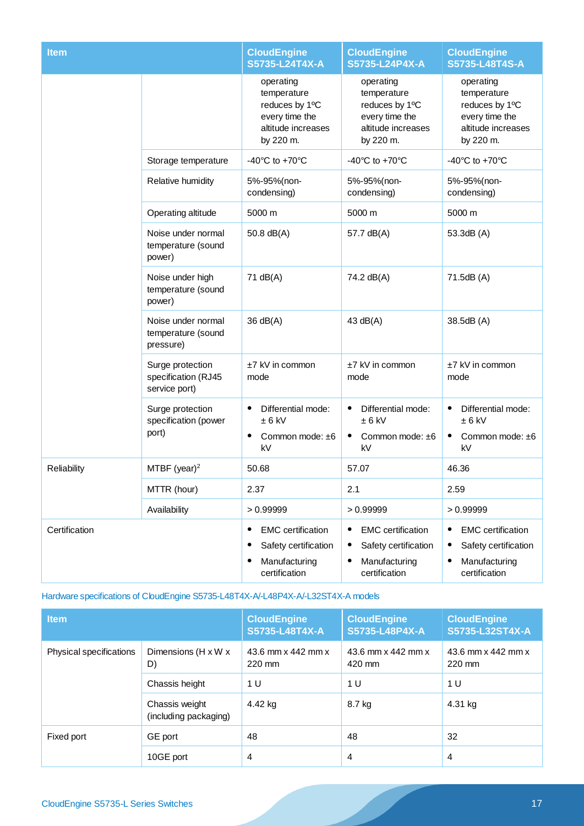| <b>Item</b>   |                                                          | <b>CloudEngine</b><br>S5735-L24T4X-A                                                              | <b>CloudEngine</b><br>S5735-L24P4X-A                                                                         | <b>CloudEngine</b><br>S5735-L48T4S-A                                                                              |
|---------------|----------------------------------------------------------|---------------------------------------------------------------------------------------------------|--------------------------------------------------------------------------------------------------------------|-------------------------------------------------------------------------------------------------------------------|
|               |                                                          | operating<br>temperature<br>reduces by 1°C<br>every time the<br>altitude increases<br>by 220 m.   | operating<br>temperature<br>reduces by 1°C<br>every time the<br>altitude increases<br>by 220 m.              | operating<br>temperature<br>reduces by 1°C<br>every time the<br>altitude increases<br>by 220 m.                   |
|               | Storage temperature                                      | -40 $^{\circ}$ C to +70 $^{\circ}$ C                                                              | -40 $^{\circ}$ C to +70 $^{\circ}$ C                                                                         | -40 $^{\circ}$ C to +70 $^{\circ}$ C                                                                              |
|               | Relative humidity                                        | 5%-95%(non-<br>condensing)                                                                        | 5%-95%(non-<br>condensing)                                                                                   | 5%-95%(non-<br>condensing)                                                                                        |
|               | Operating altitude                                       | 5000 m                                                                                            | 5000 m                                                                                                       | 5000 m                                                                                                            |
|               | Noise under normal<br>temperature (sound<br>power)       | 50.8 dB(A)                                                                                        | 57.7 dB(A)                                                                                                   | 53.3dB (A)                                                                                                        |
|               | Noise under high<br>temperature (sound<br>power)         | 71 dB(A)                                                                                          | 74.2 dB(A)                                                                                                   | 71.5dB (A)                                                                                                        |
|               | Noise under normal<br>temperature (sound<br>pressure)    | 36 dB(A)                                                                                          | 43 $dB(A)$                                                                                                   | 38.5dB (A)                                                                                                        |
|               | Surge protection<br>specification (RJ45<br>service port) | ±7 kV in common<br>mode                                                                           | ±7 kV in common<br>mode                                                                                      | ±7 kV in common<br>mode                                                                                           |
|               | Surge protection<br>specification (power<br>port)        | Differential mode:<br>$\bullet$<br>$± 6$ kV<br>$\bullet$<br>Common mode: ±6<br>kV                 | Differential mode:<br>$\bullet$<br>$± 6$ kV<br>Common mode: ±6<br>kV                                         | Differential mode:<br>$\bullet$<br>$± 6$ kV<br>Common mode: ±6<br>kV                                              |
| Reliability   | MTBF (year) <sup>2</sup>                                 | 50.68                                                                                             | 57.07                                                                                                        | 46.36                                                                                                             |
|               | MTTR (hour)                                              | 2.37                                                                                              | 2.1                                                                                                          | 2.59                                                                                                              |
|               | Availability                                             | >0.99999                                                                                          | >0.99999                                                                                                     | >0.99999                                                                                                          |
| Certification |                                                          | <b>EMC</b> certification<br>٠<br>Safety certification<br>٠<br>Manufacturing<br>٠<br>certification | <b>EMC</b> certification<br>Safety certification<br>$\bullet$<br>Manufacturing<br>$\bullet$<br>certification | <b>EMC</b> certification<br>٠<br>Safety certification<br>$\bullet$<br>Manufacturing<br>$\bullet$<br>certification |

#### Hardware specifications of CloudEngine S5735-L48T4X-A/-L48P4X-A/-L32ST4X-A models

| <b>Item</b>             |                                         | <b>CloudEngine</b><br>S5735-L48T4X-A | <b>CloudEngine</b><br>S5735-L48P4X-A | <b>CloudEngine</b><br>S5735-L32ST4X-A |
|-------------------------|-----------------------------------------|--------------------------------------|--------------------------------------|---------------------------------------|
| Physical specifications | Dimensions (H x W x<br>D)               | 43.6 mm x 442 mm x<br>220 mm         | 43.6 mm x 442 mm x<br>420 mm         | 43.6 mm x 442 mm x<br>220 mm          |
|                         | Chassis height                          | 1 <sub>U</sub>                       | 1 U                                  | 1 U                                   |
|                         | Chassis weight<br>(including packaging) | 4.42 kg                              | 8.7 kg                               | 4.31 kg                               |
| Fixed port              | GE port                                 | 48                                   | 48                                   | 32                                    |
|                         | 10GE port                               | 4                                    | 4                                    | 4                                     |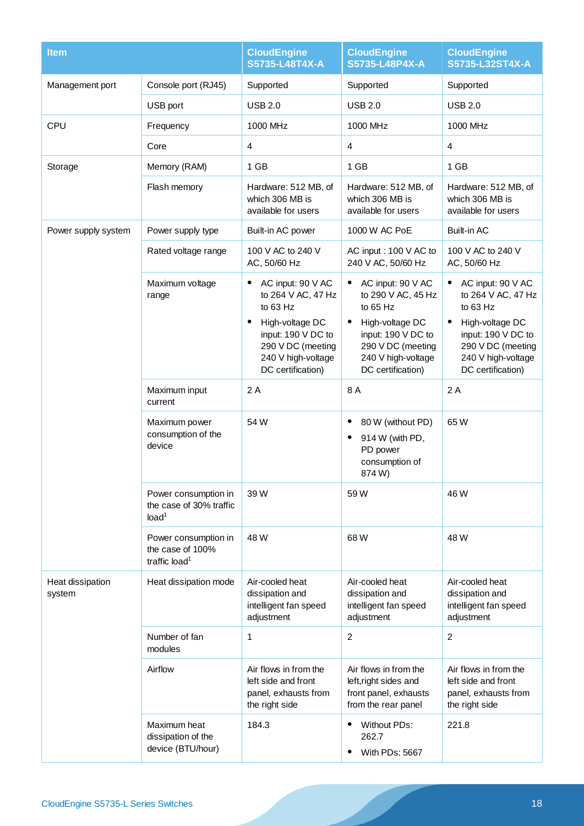| <b>Item</b>                |                                                                       | <b>CloudEngine</b><br>S5735-L48T4X-A                                                                                                                         | <b>CloudEngine</b><br>S5735-L48P4X-A                                                                                                                                                     | <b>CloudEngine</b><br>S5735-L32ST4X-A                                                                                                                                                  |
|----------------------------|-----------------------------------------------------------------------|--------------------------------------------------------------------------------------------------------------------------------------------------------------|------------------------------------------------------------------------------------------------------------------------------------------------------------------------------------------|----------------------------------------------------------------------------------------------------------------------------------------------------------------------------------------|
| Management port            | Console port (RJ45)                                                   | Supported                                                                                                                                                    | Supported                                                                                                                                                                                | Supported                                                                                                                                                                              |
|                            | USB port                                                              | <b>USB 2.0</b>                                                                                                                                               | <b>USB 2.0</b>                                                                                                                                                                           | <b>USB 2.0</b>                                                                                                                                                                         |
| CPU                        | Frequency                                                             | 1000 MHz                                                                                                                                                     | 1000 MHz                                                                                                                                                                                 | 1000 MHz                                                                                                                                                                               |
|                            | Core                                                                  | $\overline{\mathbf{4}}$                                                                                                                                      | 4                                                                                                                                                                                        | $\overline{\mathbf{4}}$                                                                                                                                                                |
| Storage                    | Memory (RAM)                                                          | $1$ GB                                                                                                                                                       | 1 GB                                                                                                                                                                                     | 1 GB                                                                                                                                                                                   |
|                            | Flash memory                                                          | Hardware: 512 MB, of<br>which 306 MB is<br>available for users                                                                                               | Hardware: 512 MB, of<br>which 306 MB is<br>available for users                                                                                                                           | Hardware: 512 MB, of<br>which 306 MB is<br>available for users                                                                                                                         |
| Power supply system        | Power supply type                                                     | Built-in AC power                                                                                                                                            | 1000 W AC PoE                                                                                                                                                                            | <b>Built-in AC</b>                                                                                                                                                                     |
|                            | Rated voltage range                                                   | 100 V AC to 240 V<br>AC, 50/60 Hz                                                                                                                            | AC input: 100 V AC to<br>240 V AC, 50/60 Hz                                                                                                                                              | 100 V AC to 240 V<br>AC, 50/60 Hz                                                                                                                                                      |
|                            | Maximum voltage<br>range                                              | AC input: 90 V AC<br>to 264 V AC, 47 Hz<br>to 63 Hz<br>High-voltage DC<br>input: 190 V DC to<br>290 V DC (meeting<br>240 V high-voltage<br>DC certification) | AC input: 90 V AC<br>$\bullet$<br>to 290 V AC, 45 Hz<br>to $65$ Hz<br>$\bullet$<br>High-voltage DC<br>input: 190 V DC to<br>290 V DC (meeting<br>240 V high-voltage<br>DC certification) | AC input: 90 V AC<br>$\bullet$<br>to 264 V AC, 47 Hz<br>to 63 Hz<br>$\bullet$<br>High-voltage DC<br>input: 190 V DC to<br>290 V DC (meeting<br>240 V high-voltage<br>DC certification) |
|                            | Maximum input<br>current                                              | 2 A                                                                                                                                                          | 8 A                                                                                                                                                                                      | 2A                                                                                                                                                                                     |
|                            | Maximum power<br>consumption of the<br>device                         | 54 W                                                                                                                                                         | 80 W (without PD)<br>$\bullet$<br>914 W (with PD,<br>PD power<br>consumption of<br>874W)                                                                                                 | 65 W                                                                                                                                                                                   |
|                            | Power consumption in<br>the case of 30% traffic<br>load <sup>1</sup>  | 39W                                                                                                                                                          | 59W                                                                                                                                                                                      | 46 W                                                                                                                                                                                   |
|                            | Power consumption in<br>the case of 100%<br>traffic load <sup>1</sup> | 48 W                                                                                                                                                         | 68W                                                                                                                                                                                      | 48 W                                                                                                                                                                                   |
| Heat dissipation<br>system | Heat dissipation mode                                                 | Air-cooled heat<br>dissipation and<br>intelligent fan speed<br>adjustment                                                                                    | Air-cooled heat<br>dissipation and<br>intelligent fan speed<br>adjustment                                                                                                                | Air-cooled heat<br>dissipation and<br>intelligent fan speed<br>adjustment                                                                                                              |
|                            | Number of fan<br>modules                                              | 1                                                                                                                                                            | $\overline{2}$                                                                                                                                                                           | 2                                                                                                                                                                                      |
|                            | Airflow                                                               | Air flows in from the<br>left side and front<br>panel, exhausts from<br>the right side                                                                       | Air flows in from the<br>left, right sides and<br>front panel, exhausts<br>from the rear panel                                                                                           | Air flows in from the<br>left side and front<br>panel, exhausts from<br>the right side                                                                                                 |
|                            | Maximum heat<br>dissipation of the<br>device (BTU/hour)               | 184.3                                                                                                                                                        | Without PDs:<br>262.7<br>With PDs: 5667                                                                                                                                                  | 221.8                                                                                                                                                                                  |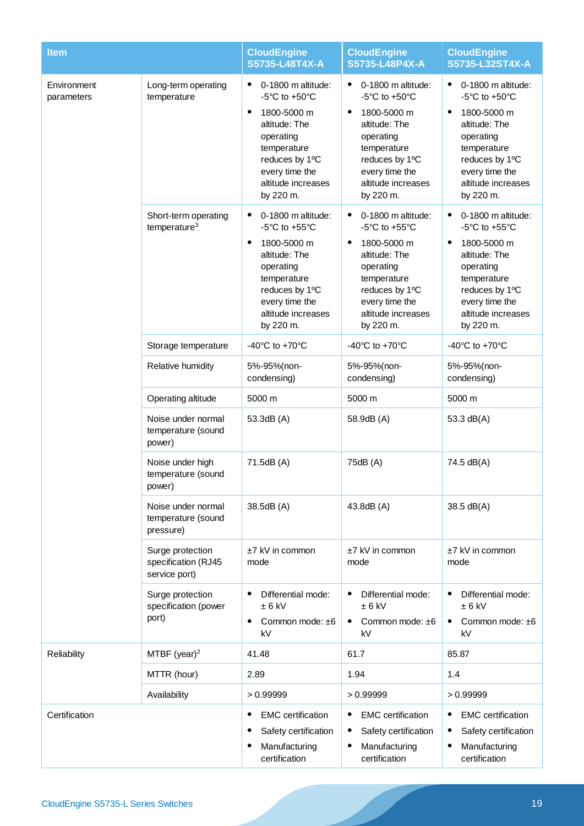| <b>Item</b>               |                                                          | <b>CloudEngine</b><br>S5735-L48T4X-A                                                                                                                                                                                                   | <b>CloudEngine</b><br>S5735-L48P4X-A                                                                                                                                                                                 | <b>CloudEngine</b><br>S5735-L32ST4X-A                                                                                                                                                                                                  |
|---------------------------|----------------------------------------------------------|----------------------------------------------------------------------------------------------------------------------------------------------------------------------------------------------------------------------------------------|----------------------------------------------------------------------------------------------------------------------------------------------------------------------------------------------------------------------|----------------------------------------------------------------------------------------------------------------------------------------------------------------------------------------------------------------------------------------|
| Environment<br>parameters | Long-term operating<br>temperature                       | 0-1800 m altitude:<br>$\bullet$<br>-5 $\mathrm{^{\circ}C}$ to +50 $\mathrm{^{\circ}C}$<br>1800-5000 m<br>$\bullet$<br>altitude: The<br>operating<br>temperature<br>reduces by 1°C<br>every time the<br>altitude increases<br>by 220 m. | 0-1800 m altitude:<br>$\bullet$<br>$-5^{\circ}$ C to $+50^{\circ}$ C<br>1800-5000 m<br>$\bullet$<br>altitude: The<br>operating<br>temperature<br>reduces by 1°C<br>every time the<br>altitude increases<br>by 220 m. | 0-1800 m altitude:<br>$\bullet$<br>-5 $\mathrm{^{\circ}C}$ to +50 $\mathrm{^{\circ}C}$<br>1800-5000 m<br>$\bullet$<br>altitude: The<br>operating<br>temperature<br>reduces by 1°C<br>every time the<br>altitude increases<br>by 220 m. |
|                           | Short-term operating<br>temperature <sup>3</sup>         | 0-1800 m altitude:<br>$-5^{\circ}$ C to $+55^{\circ}$ C<br>1800-5000 m<br>$\bullet$<br>altitude: The<br>operating<br>temperature<br>reduces by 1°C<br>every time the<br>altitude increases<br>by 220 m.                                | 0-1800 m altitude:<br>٠<br>$-5^{\circ}$ C to $+55^{\circ}$ C<br>1800-5000 m<br>$\bullet$<br>altitude: The<br>operating<br>temperature<br>reduces by 1°C<br>every time the<br>altitude increases<br>by 220 m.         | 0-1800 m altitude:<br>$\bullet$<br>$-5^{\circ}$ C to $+55^{\circ}$ C<br>1800-5000 m<br>٠<br>altitude: The<br>operating<br>temperature<br>reduces by 1°C<br>every time the<br>altitude increases<br>by 220 m.                           |
|                           | Storage temperature                                      | -40 $^{\circ}$ C to +70 $^{\circ}$ C                                                                                                                                                                                                   | -40 $^{\circ}$ C to +70 $^{\circ}$ C                                                                                                                                                                                 | -40 $^{\circ}$ C to +70 $^{\circ}$ C                                                                                                                                                                                                   |
|                           | Relative humidity                                        | 5%-95%(non-<br>condensing)                                                                                                                                                                                                             | 5%-95%(non-<br>condensing)                                                                                                                                                                                           | 5%-95%(non-<br>condensing)                                                                                                                                                                                                             |
|                           | Operating altitude                                       | 5000 m                                                                                                                                                                                                                                 | 5000 m                                                                                                                                                                                                               | 5000 m                                                                                                                                                                                                                                 |
|                           | Noise under normal<br>temperature (sound<br>power)       | 53.3dB (A)                                                                                                                                                                                                                             | 58.9dB (A)                                                                                                                                                                                                           | 53.3 dB(A)                                                                                                                                                                                                                             |
|                           | Noise under high<br>temperature (sound<br>power)         | 71.5dB (A)                                                                                                                                                                                                                             | 75dB (A)                                                                                                                                                                                                             | 74.5 dB(A)                                                                                                                                                                                                                             |
|                           | Noise under normal<br>temperature (sound<br>pressure)    | 38.5dB (A)                                                                                                                                                                                                                             | 43.8dB (A)                                                                                                                                                                                                           | 38.5 dB(A)                                                                                                                                                                                                                             |
|                           | Surge protection<br>specification (RJ45<br>service port) | ±7 kV in common<br>mode                                                                                                                                                                                                                | ±7 kV in common<br>mode                                                                                                                                                                                              | ±7 kV in common<br>mode                                                                                                                                                                                                                |
|                           | Surge protection<br>specification (power<br>port)        | ٠<br>Differential mode:<br>$± 6$ kV<br>Common mode: $±6$<br>٠<br>kV                                                                                                                                                                    | Differential mode:<br>٠<br>$± 6$ kV<br>Common mode: ±6<br>kV                                                                                                                                                         | $\bullet$<br>Differential mode:<br>$± 6$ kV<br>Common mode: $±6$<br>kV                                                                                                                                                                 |
| Reliability               | MTBF (year) <sup>2</sup>                                 | 41.48                                                                                                                                                                                                                                  | 61.7                                                                                                                                                                                                                 | 85.87                                                                                                                                                                                                                                  |
|                           | MTTR (hour)                                              | 2.89                                                                                                                                                                                                                                   | 1.94                                                                                                                                                                                                                 | 1.4                                                                                                                                                                                                                                    |
|                           | Availability                                             | >0.99999                                                                                                                                                                                                                               | >0.99999                                                                                                                                                                                                             | >0.99999                                                                                                                                                                                                                               |
| Certification             |                                                          | <b>EMC</b> certification<br>Safety certification<br>Manufacturing<br>certification                                                                                                                                                     | <b>EMC</b> certification<br>Safety certification<br>Manufacturing<br>$\bullet$<br>certification                                                                                                                      | <b>EMC</b> certification<br>Safety certification<br>Manufacturing<br>٠<br>certification                                                                                                                                                |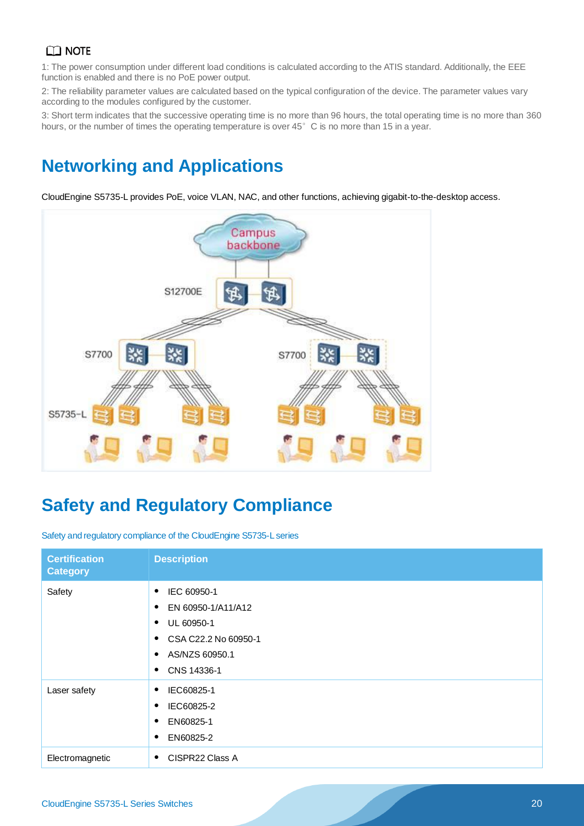1: The power consumption under different load conditions is calculated according to the ATIS standard. Additionally, the EEE function is enabled and there is no PoE power output.

2: The reliability parameter values are calculated based on the typical configuration of the device. The parameter values vary according to the modules configured by the customer.

3: Short term indicates that the successive operating time is no more than 96 hours, the total operating time is no more than 360 hours, or the number of times the operating temperature is over 45°C is no more than 15 in a year.

# **Networking and Applications**

CloudEngine S5735-L provides PoE, voice VLAN, NAC, and other functions, achieving gigabit-to-the-desktop access.



# **Safety and Regulatory Compliance**

Safety and regulatory compliance of the CloudEngine S5735-L series

| <b>Certification</b><br><b>Category</b> | <b>Description</b>                                                                                                                             |
|-----------------------------------------|------------------------------------------------------------------------------------------------------------------------------------------------|
| Safety                                  | IEC 60950-1<br>٠<br>EN 60950-1/A11/A12<br>٠<br>UL 60950-1<br>٠<br>CSA C22.2 No 60950-1<br>٠<br>AS/NZS 60950.1<br>$\bullet$<br>CNS 14336-1<br>٠ |
| Laser safety                            | IEC60825-1<br>٠<br>IEC60825-2<br>٠<br>EN60825-1<br>٠<br>EN60825-2<br>٠                                                                         |
| Electromagnetic                         | CISPR22 Class A<br>٠                                                                                                                           |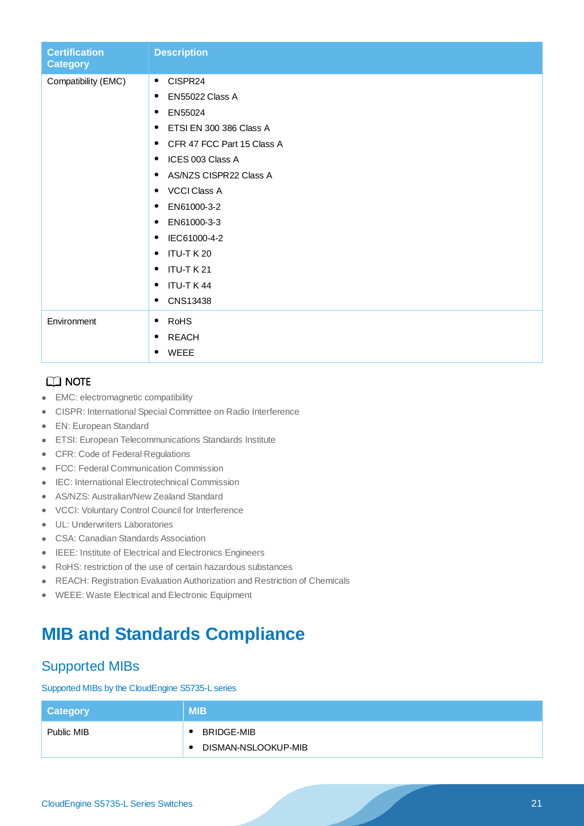| <b>Certification</b><br><b>Category</b> | <b>Description</b>                      |
|-----------------------------------------|-----------------------------------------|
| Compatibility (EMC)                     | CISPR24<br>$\bullet$                    |
|                                         | EN55022 Class A<br>$\bullet$            |
|                                         | EN55024<br>$\bullet$                    |
|                                         | ETSI EN 300 386 Class A<br>٠            |
|                                         | CFR 47 FCC Part 15 Class A<br>$\bullet$ |
|                                         | ICES 003 Class A<br>$\bullet$           |
|                                         | AS/NZS CISPR22 Class A<br>$\bullet$     |
|                                         | <b>VCCI Class A</b><br>$\bullet$        |
|                                         | EN61000-3-2<br>$\bullet$                |
|                                         | EN61000-3-3<br>$\bullet$                |
|                                         | IEC61000-4-2<br>$\bullet$               |
|                                         | <b>ITU-T K 20</b><br>$\bullet$          |
|                                         | ITU-T K 21<br>$\bullet$                 |
|                                         | ITU-T K 44<br>٠                         |
|                                         | CNS13438<br>$\bullet$                   |
| Environment                             | <b>RoHS</b><br>$\bullet$                |
|                                         | <b>REACH</b><br>٠                       |
|                                         | WEEE<br>$\bullet$                       |

- EMC: electromagnetic compatibility
- CISPR: International Special Committee on Radio Interference
- EN: European Standard
- ETSI: European Telecommunications Standards Institute
- CFR: Code of Federal Regulations
- FCC: Federal Communication Commission
- IEC: International Electrotechnical Commission
- AS/NZS: Australian/New Zealand Standard
- VCCI: Voluntary Control Council for Interference
- UL: Underwriters Laboratories
- CSA: Canadian Standards Association
- IEEE: Institute of Electrical and Electronics Engineers
- RoHS: restriction of the use of certain hazardous substances
- REACH: Registration Evaluation Authorization and Restriction of Chemicals
- WEEE: Waste Electrical and Electronic Equipment

## **MIB and Standards Compliance**

### Supported MIBs

#### Supported MIBs by the CloudEngine S5735-L series

| <b>Category</b> | <b>MIB</b>                       |
|-----------------|----------------------------------|
| Public MIB      | BRIDGE-MIB                       |
|                 | DISMAN-NSLOOKUP-MIB<br>$\bullet$ |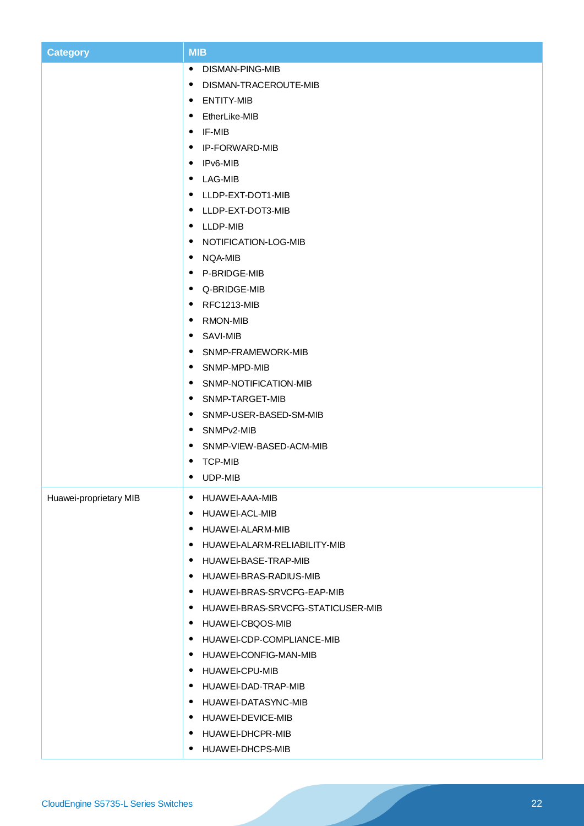| <b>Category</b>        | <b>MIB</b>                          |
|------------------------|-------------------------------------|
|                        | • DISMAN-PING-MIB                   |
|                        | • DISMAN-TRACEROUTE-MIB             |
|                        | • ENTITY-MIB                        |
|                        | • EtherLike-MIB                     |
|                        | $\bullet$ IF-MIB                    |
|                        | • IP-FORWARD-MIB                    |
|                        | $\bullet$ IPv6-MIB                  |
|                        | • LAG-MIB                           |
|                        | • LLDP-EXT-DOT1-MIB                 |
|                        | • LLDP-EXT-DOT3-MIB                 |
|                        | • LLDP-MIB                          |
|                        | • NOTIFICATION-LOG-MIB              |
|                        | • NQA-MIB                           |
|                        | • P-BRIDGE-MIB                      |
|                        | • Q-BRIDGE-MIB                      |
|                        | $\bullet$ RFC1213-MIB               |
|                        | • RMON-MIB                          |
|                        | • SAVI-MIB                          |
|                        | • SNMP-FRAMEWORK-MIB                |
|                        | • SNMP-MPD-MIB                      |
|                        | • SNMP-NOTIFICATION-MIB             |
|                        | • SNMP-TARGET-MIB                   |
|                        | • SNMP-USER-BASED-SM-MIB            |
|                        | • SNMPv2-MIB                        |
|                        | • SNMP-VIEW-BASED-ACM-MIB           |
|                        | <b>TCP-MIB</b><br>$\bullet$         |
|                        | • UDP-MIB                           |
| Huawei-proprietary MIB | • HUAWEI-AAA-MIB                    |
|                        | • HUAWEI-ACL-MIB                    |
|                        | • HUAWEI-ALARM-MIB                  |
|                        | · HUAWEI-ALARM-RELIABILITY-MIB      |
|                        | • HUAWEI-BASE-TRAP-MIB              |
|                        | • HUAWEI-BRAS-RADIUS-MIB            |
|                        | • HUAWEI-BRAS-SRVCFG-EAP-MIB        |
|                        | • HUAWEI-BRAS-SRVCFG-STATICUSER-MIB |
|                        | • HUAWEI-CBQOS-MIB                  |
|                        | • HUAWEI-CDP-COMPLIANCE-MIB         |
|                        | • HUAWEI-CONFIG-MAN-MIB             |
|                        | • HUAWEI-CPU-MIB                    |
|                        | • HUAWEI-DAD-TRAP-MIB               |
|                        | • HUAWEI-DATASYNC-MIB               |
|                        | • HUAWEI-DEVICE-MIB                 |
|                        | • HUAWEI-DHCPR-MIB                  |
|                        | • HUAWEI-DHCPS-MIB                  |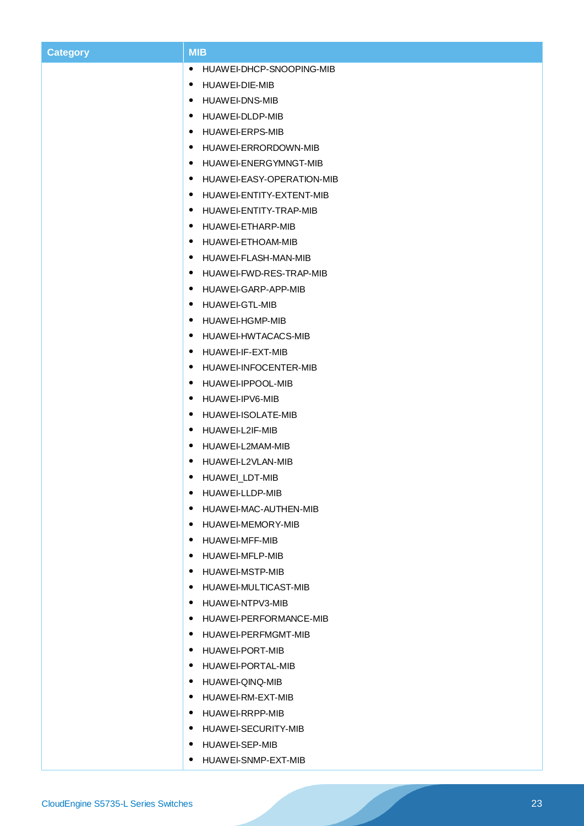| <b>Category</b> | <b>MIB</b>                             |
|-----------------|----------------------------------------|
|                 | HUAWEI-DHCP-SNOOPING-MIB<br>$\bullet$  |
|                 | HUAWEI-DIE-MIB<br>٠                    |
|                 | <b>HUAWEI-DNS-MIB</b><br>٠             |
|                 | HUAWEI-DLDP-MIB<br>٠                   |
|                 | HUAWEI-ERPS-MIB<br>$\bullet$           |
|                 | HUAWEI-ERRORDOWN-MIB<br>٠              |
|                 | HUAWEI-ENERGYMNGT-MIB<br>٠             |
|                 | HUAWEI-EASY-OPERATION-MIB<br>$\bullet$ |
|                 | HUAWEI-ENTITY-EXTENT-MIB<br>٠          |
|                 | HUAWEI-ENTITY-TRAP-MIB<br>٠            |
|                 | HUAWEI-ETHARP-MIB<br>٠                 |
|                 | HUAWEI-ETHOAM-MIB<br>٠                 |
|                 | HUAWEI-FLASH-MAN-MIB<br>٠              |
|                 | HUAWEI-FWD-RES-TRAP-MIB<br>٠           |
|                 | HUAWEI-GARP-APP-MIB<br>٠               |
|                 | HUAWEI-GTL-MIB<br>٠                    |
|                 | HUAWEI-HGMP-MIB<br>٠                   |
|                 | HUAWEI-HWTACACS-MIB<br>٠               |
|                 | HUAWEI-IF-EXT-MIB<br>٠                 |
|                 | HUAWEI-INFOCENTER-MIB<br>٠             |
|                 | HUAWEI-IPPOOL-MIB<br>٠                 |
|                 | HUAWEI-IPV6-MIB<br>٠                   |
|                 | HUAWEI-ISOLATE-MIB<br>٠                |
|                 | HUAWEI-L2IF-MIB<br>٠                   |
|                 | HUAWEI-L2MAM-MIB<br>٠                  |
|                 | HUAWEI-L2VLAN-MIB<br>$\bullet$         |
|                 | HUAWEI_LDT-MIB<br>٠                    |
|                 | • HUAWEI-LLDP-MIB                      |
|                 | • HUAWEI-MAC-AUTHEN-MIB                |
|                 | HUAWEI-MEMORY-MIB<br>٠                 |
|                 | HUAWEI-MFF-MIB<br>٠                    |
|                 | HUAWEI-MFLP-MIB<br>$\bullet$           |
|                 | • HUAWEI-MSTP-MIB                      |
|                 | • HUAWEI-MULTICAST-MIB                 |
|                 | HUAWEI-NTPV3-MIB<br>$\bullet$          |
|                 | • HUAWEI-PERFORMANCE-MIB               |
|                 | • HUAWEI-PERFMGMT-MIB                  |
|                 | • HUAWEI-PORT-MIB                      |
|                 | • HUAWEI-PORTAL-MIB                    |
|                 | HUAWEI-QINQ-MIB                        |
|                 | HUAWEI-RM-EXT-MIB<br>$\bullet$         |
|                 | • HUAWEI-RRPP-MIB                      |
|                 | HUAWEI-SECURITY-MIB<br>$\bullet$       |
|                 | HUAWEI-SEP-MIB<br>٠                    |
|                 | • HUAWEI-SNMP-EXT-MIB                  |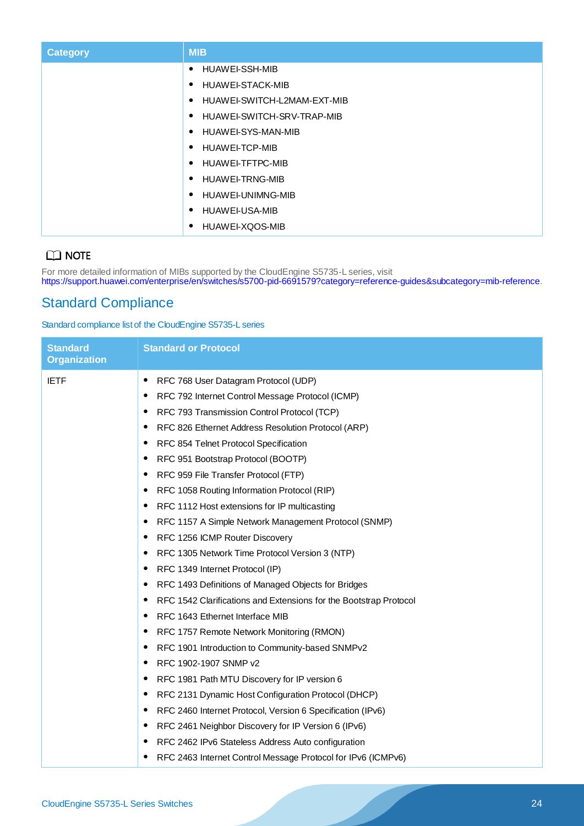| <b>Category</b> | <b>MIB</b>                       |
|-----------------|----------------------------------|
|                 | HUAWEI-SSH-MIB<br>$\bullet$      |
|                 | HUAWEI-STACK-MIB<br>٠            |
|                 | HUAWEI-SWITCH-L2MAM-EXT-MIB<br>٠ |
|                 | HUAWEI-SWITCH-SRV-TRAP-MIB<br>٠  |
|                 | HUAWEI-SYS-MAN-MIB<br>$\bullet$  |
|                 | HUAWEI-TCP-MIB<br>$\bullet$      |
|                 | HUAWEI-TFTPC-MIB<br>٠            |
|                 | HUAWEI-TRNG-MIB<br>٠             |
|                 | HUAWEI-UNIMNG-MIB<br>٠           |
|                 | HUAWEI-USA-MIB<br>٠              |
|                 | HUAWEI-XQOS-MIB<br>$\bullet$     |

For more detailed information of MIBs supported by the CloudEngine S5735-L series, visit [https://support.huawei.com/enterprise/en/switches/s5700-pid-6691579?category=reference-guides&subcategory=mib-reference.](https://support.huawei.com/enterprise/en/switches/s5700-pid-6691579?category=reference-guides&subcategory=mib-reference)

## Standard Compliance

Standard compliance list of the CloudEngine S5735-L series

| <b>Standard</b>     | <b>Standard or Protocol</b>                                             |
|---------------------|-------------------------------------------------------------------------|
| <b>Organization</b> |                                                                         |
| <b>IETF</b>         | RFC 768 User Datagram Protocol (UDP)<br>٠                               |
|                     | RFC 792 Internet Control Message Protocol (ICMP)                        |
|                     | RFC 793 Transmission Control Protocol (TCP)<br>٠                        |
|                     | RFC 826 Ethernet Address Resolution Protocol (ARP)                      |
|                     | RFC 854 Telnet Protocol Specification<br>٠                              |
|                     | RFC 951 Bootstrap Protocol (BOOTP)                                      |
|                     | RFC 959 File Transfer Protocol (FTP)<br>٠                               |
|                     | RFC 1058 Routing Information Protocol (RIP)<br>٠                        |
|                     | RFC 1112 Host extensions for IP multicasting<br>٠                       |
|                     | RFC 1157 A Simple Network Management Protocol (SNMP)                    |
|                     | RFC 1256 ICMP Router Discovery<br>٠                                     |
|                     | RFC 1305 Network Time Protocol Version 3 (NTP)                          |
|                     | RFC 1349 Internet Protocol (IP)<br>٠                                    |
|                     | RFC 1493 Definitions of Managed Objects for Bridges                     |
|                     | RFC 1542 Clarifications and Extensions for the Bootstrap Protocol       |
|                     | RFC 1643 Ethernet Interface MIB                                         |
|                     | RFC 1757 Remote Network Monitoring (RMON)                               |
|                     | RFC 1901 Introduction to Community-based SNMPv2<br>$\bullet$            |
|                     | RFC 1902-1907 SNMP v2                                                   |
|                     | RFC 1981 Path MTU Discovery for IP version 6<br>$\bullet$               |
|                     | RFC 2131 Dynamic Host Configuration Protocol (DHCP)<br>٠                |
|                     | RFC 2460 Internet Protocol, Version 6 Specification (IPv6)<br>$\bullet$ |
|                     | RFC 2461 Neighbor Discovery for IP Version 6 (IPv6)                     |
|                     | RFC 2462 IPv6 Stateless Address Auto configuration<br>٠                 |
|                     | RFC 2463 Internet Control Message Protocol for IPv6 (ICMPv6)            |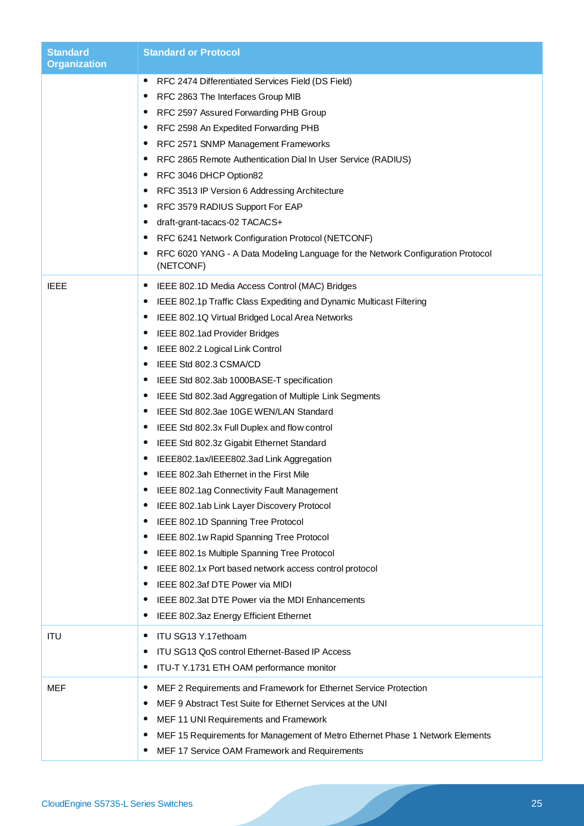| <b>Standard</b><br><b>Organization</b> | <b>Standard or Protocol</b>                                                                                                                                                                                                                                                                                                                                                                                                                                                                                                                                                                                                                                                                                                                                                                                                                                                                                                                                                                                                                                                                                                                                                                                                                                          |
|----------------------------------------|----------------------------------------------------------------------------------------------------------------------------------------------------------------------------------------------------------------------------------------------------------------------------------------------------------------------------------------------------------------------------------------------------------------------------------------------------------------------------------------------------------------------------------------------------------------------------------------------------------------------------------------------------------------------------------------------------------------------------------------------------------------------------------------------------------------------------------------------------------------------------------------------------------------------------------------------------------------------------------------------------------------------------------------------------------------------------------------------------------------------------------------------------------------------------------------------------------------------------------------------------------------------|
|                                        | ٠<br>RFC 2474 Differentiated Services Field (DS Field)<br>RFC 2863 The Interfaces Group MIB<br>٠<br>RFC 2597 Assured Forwarding PHB Group<br>RFC 2598 An Expedited Forwarding PHB<br>$\bullet$<br>RFC 2571 SNMP Management Frameworks<br>$\bullet$<br>RFC 2865 Remote Authentication Dial In User Service (RADIUS)<br>RFC 3046 DHCP Option82<br>$\bullet$<br>RFC 3513 IP Version 6 Addressing Architecture<br>٠<br>RFC 3579 RADIUS Support For EAP<br>$\bullet$<br>draft-grant-tacacs-02 TACACS+<br>٠<br>RFC 6241 Network Configuration Protocol (NETCONF)<br>٠<br>RFC 6020 YANG - A Data Modeling Language for the Network Configuration Protocol<br>٠<br>(NETCONF)                                                                                                                                                                                                                                                                                                                                                                                                                                                                                                                                                                                                 |
| <b>IEEE</b>                            | IEEE 802.1D Media Access Control (MAC) Bridges<br>$\bullet$<br>IEEE 802.1p Traffic Class Expediting and Dynamic Multicast Filtering<br>$\bullet$<br>IEEE 802.1Q Virtual Bridged Local Area Networks<br>$\bullet$<br>IEEE 802.1ad Provider Bridges<br>$\bullet$<br>IEEE 802.2 Logical Link Control<br>٠<br>IEEE Std 802.3 CSMA/CD<br>$\bullet$<br>IEEE Std 802.3ab 1000BASE-T specification<br>$\bullet$<br>IEEE Std 802.3ad Aggregation of Multiple Link Segments<br>$\bullet$<br>IEEE Std 802.3ae 10GE WEN/LAN Standard<br>$\bullet$<br>IEEE Std 802.3x Full Duplex and flow control<br>$\bullet$<br>IEEE Std 802.3z Gigabit Ethernet Standard<br>٠<br>IEEE802.1ax/IEEE802.3ad Link Aggregation<br>$\bullet$<br>IEEE 802.3ah Ethernet in the First Mile<br>٠<br>IEEE 802.1ag Connectivity Fault Management<br>IEEE 802.1ab Link Layer Discovery Protocol<br>$\bullet$<br>IEEE 802.1D Spanning Tree Protocol<br>$\bullet$<br>IEEE 802.1w Rapid Spanning Tree Protocol<br>€<br>IEEE 802.1s Multiple Spanning Tree Protocol<br>$\bullet$<br>IEEE 802.1x Port based network access control protocol<br>٠<br>IEEE 802.3af DTE Power via MIDI<br>€<br>IEEE 802.3at DTE Power via the MDI Enhancements<br>$\bullet$<br>IEEE 802.3az Energy Efficient Ethernet<br>$\bullet$ |
| <b>ITU</b>                             | ITU SG13 Y.17ethoam<br>٠<br>ITU SG13 QoS control Ethernet-Based IP Access<br>ITU-T Y.1731 ETH OAM performance monitor<br>٠                                                                                                                                                                                                                                                                                                                                                                                                                                                                                                                                                                                                                                                                                                                                                                                                                                                                                                                                                                                                                                                                                                                                           |
| <b>MEF</b>                             | MEF 2 Requirements and Framework for Ethernet Service Protection<br>$\bullet$<br>MEF 9 Abstract Test Suite for Ethernet Services at the UNI<br>٠<br>MEF 11 UNI Requirements and Framework<br>٠<br>MEF 15 Requirements for Management of Metro Ethernet Phase 1 Network Elements<br>٠<br>MEF 17 Service OAM Framework and Requirements<br>٠                                                                                                                                                                                                                                                                                                                                                                                                                                                                                                                                                                                                                                                                                                                                                                                                                                                                                                                           |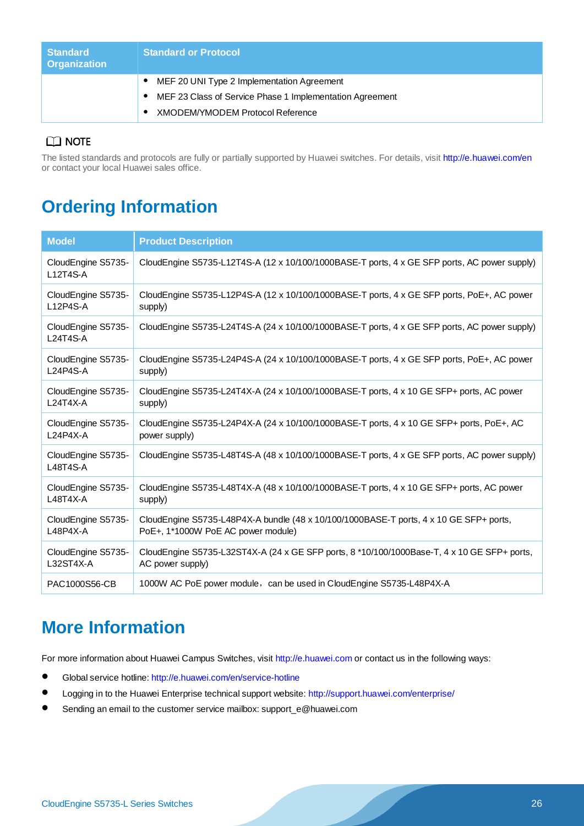| <b>Standard</b><br><b>Organization</b> | <b>Standard or Protocol</b>                              |
|----------------------------------------|----------------------------------------------------------|
|                                        | MEF 20 UNI Type 2 Implementation Agreement               |
|                                        | MEF 23 Class of Service Phase 1 Implementation Agreement |
|                                        | XMODEM/YMODEM Protocol Reference                         |

### $CD$  NOTE

The listed standards and protocols are fully or partially supported by Huawei switches. For details, visit<http://e.huawei.com/en> or contact your local Huawei sales office.

# **Ordering Information**

| <b>Model</b>                          | <b>Product Description</b>                                                                   |
|---------------------------------------|----------------------------------------------------------------------------------------------|
| CloudEngine S5735-<br>$L12T4S-A$      | CloudEngine S5735-L12T4S-A (12 x 10/100/1000BASE-T ports, 4 x GE SFP ports, AC power supply) |
| CloudEngine S5735-                    | CloudEngine S5735-L12P4S-A (12 x 10/100/1000BASE-T ports, 4 x GE SFP ports, PoE+, AC power   |
| $L12P4S-A$                            | supply)                                                                                      |
| CloudEngine S5735-<br>$L24T4S-A$      | CloudEngine S5735-L24T4S-A (24 x 10/100/1000BASE-T ports, 4 x GE SFP ports, AC power supply) |
| CloudEngine S5735-                    | CloudEngine S5735-L24P4S-A (24 x 10/100/1000BASE-T ports, 4 x GE SFP ports, PoE+, AC power   |
| $L24P4S-A$                            | supply)                                                                                      |
| CloudEngine S5735-                    | CloudEngine S5735-L24T4X-A (24 x 10/100/1000BASE-T ports, 4 x 10 GE SFP+ ports, AC power     |
| $L24T4X-A$                            | supply)                                                                                      |
| CloudEngine S5735-                    | CloudEngine S5735-L24P4X-A (24 x 10/100/1000BASE-T ports, 4 x 10 GE SFP+ ports, PoE+, AC     |
| $L24P4X-A$                            | power supply)                                                                                |
| CloudEngine S5735-<br><b>L48T4S-A</b> | CloudEngine S5735-L48T4S-A (48 x 10/100/1000BASE-T ports, 4 x GE SFP ports, AC power supply) |
| CloudEngine S5735-                    | CloudEngine S5735-L48T4X-A (48 x 10/100/1000BASE-T ports, 4 x 10 GE SFP+ ports, AC power     |
| $L48T4X-A$                            | supply)                                                                                      |
| CloudEngine S5735-                    | CloudEngine S5735-L48P4X-A bundle (48 x 10/100/1000BASE-T ports, 4 x 10 GE SFP+ ports,       |
| L48P4X-A                              | PoE+, 1*1000W PoE AC power module)                                                           |
| CloudEngine S5735-                    | CloudEngine S5735-L32ST4X-A (24 x GE SFP ports, 8 *10/100/1000Base-T, 4 x 10 GE SFP+ ports,  |
| L32ST4X-A                             | AC power supply)                                                                             |
| PAC1000S56-CB                         | 1000W AC PoE power module, can be used in CloudEngine S5735-L48P4X-A                         |

# **More Information**

For more information about Huawei Campus Switches, visit [http://e.huawei.com](http://e.huawei.com/) or contact us in the following ways:

- Global service hotline:<http://e.huawei.com/en/service-hotline>
- Logging in to the Huawei Enterprise technical support website:<http://support.huawei.com/enterprise/>
- Sending an email to the customer service mailbox: support\_e@huawei.com